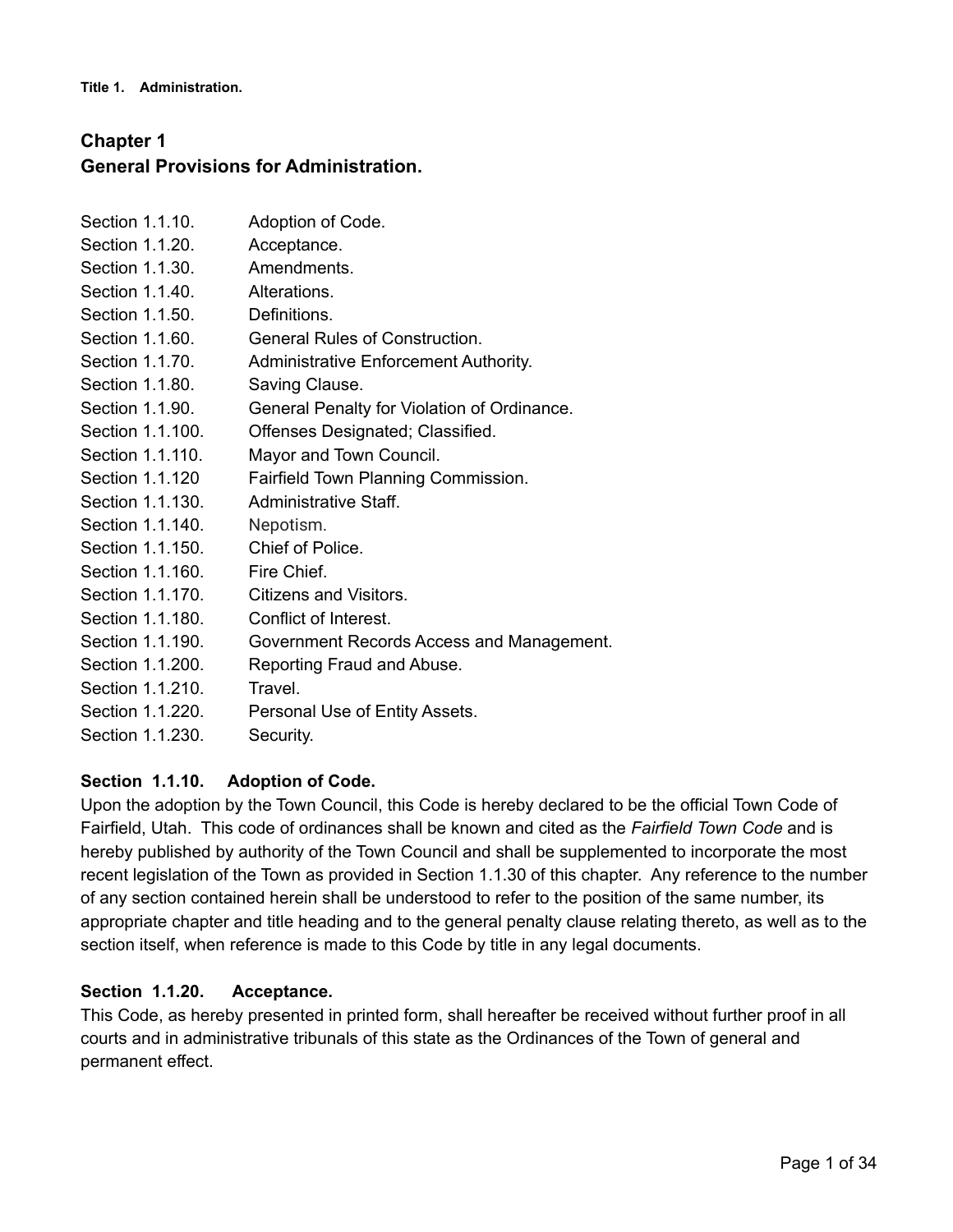**Title 1. Administration.**

# **Chapter 1 General Provisions for Administration.**

| Section 1.1.10.  | Adoption of Code.                           |
|------------------|---------------------------------------------|
| Section 1.1.20.  | Acceptance.                                 |
| Section 1.1.30.  | Amendments.                                 |
| Section 1.1.40.  | Alterations.                                |
| Section 1.1.50.  | Definitions.                                |
| Section 1.1.60.  | <b>General Rules of Construction.</b>       |
| Section 1.1.70.  | Administrative Enforcement Authority.       |
| Section 1.1.80.  | Saving Clause.                              |
| Section 1.1.90.  | General Penalty for Violation of Ordinance. |
| Section 1.1.100. | Offenses Designated; Classified.            |
| Section 1.1.110. | Mayor and Town Council.                     |
| Section 1.1.120  | Fairfield Town Planning Commission.         |
| Section 1.1.130. | Administrative Staff.                       |
| Section 1.1.140. | Nepotism.                                   |
| Section 1.1.150. | Chief of Police.                            |
| Section 1.1.160. | Fire Chief.                                 |
| Section 1.1.170. | Citizens and Visitors.                      |
| Section 1.1.180. | Conflict of Interest.                       |
| Section 1.1.190. | Government Records Access and Management.   |
| Section 1.1.200. | Reporting Fraud and Abuse.                  |
| Section 1.1.210. | Travel.                                     |
| Section 1.1.220. | Personal Use of Entity Assets.              |
| Section 1.1.230. | Security.                                   |

### **Section 1.1.10. Adoption of Code.**

Upon the adoption by the Town Council, this Code is hereby declared to be the official Town Code of Fairfield, Utah. This code of ordinances shall be known and cited as the *Fairfield Town Code* and is hereby published by authority of the Town Council and shall be supplemented to incorporate the most recent legislation of the Town as provided in Section 1.1.30 of this chapter. Any reference to the number of any section contained herein shall be understood to refer to the position of the same number, its appropriate chapter and title heading and to the general penalty clause relating thereto, as well as to the section itself, when reference is made to this Code by title in any legal documents.

### **Section 1.1.20. Acceptance.**

This Code, as hereby presented in printed form, shall hereafter be received without further proof in all courts and in administrative tribunals of this state as the Ordinances of the Town of general and permanent effect.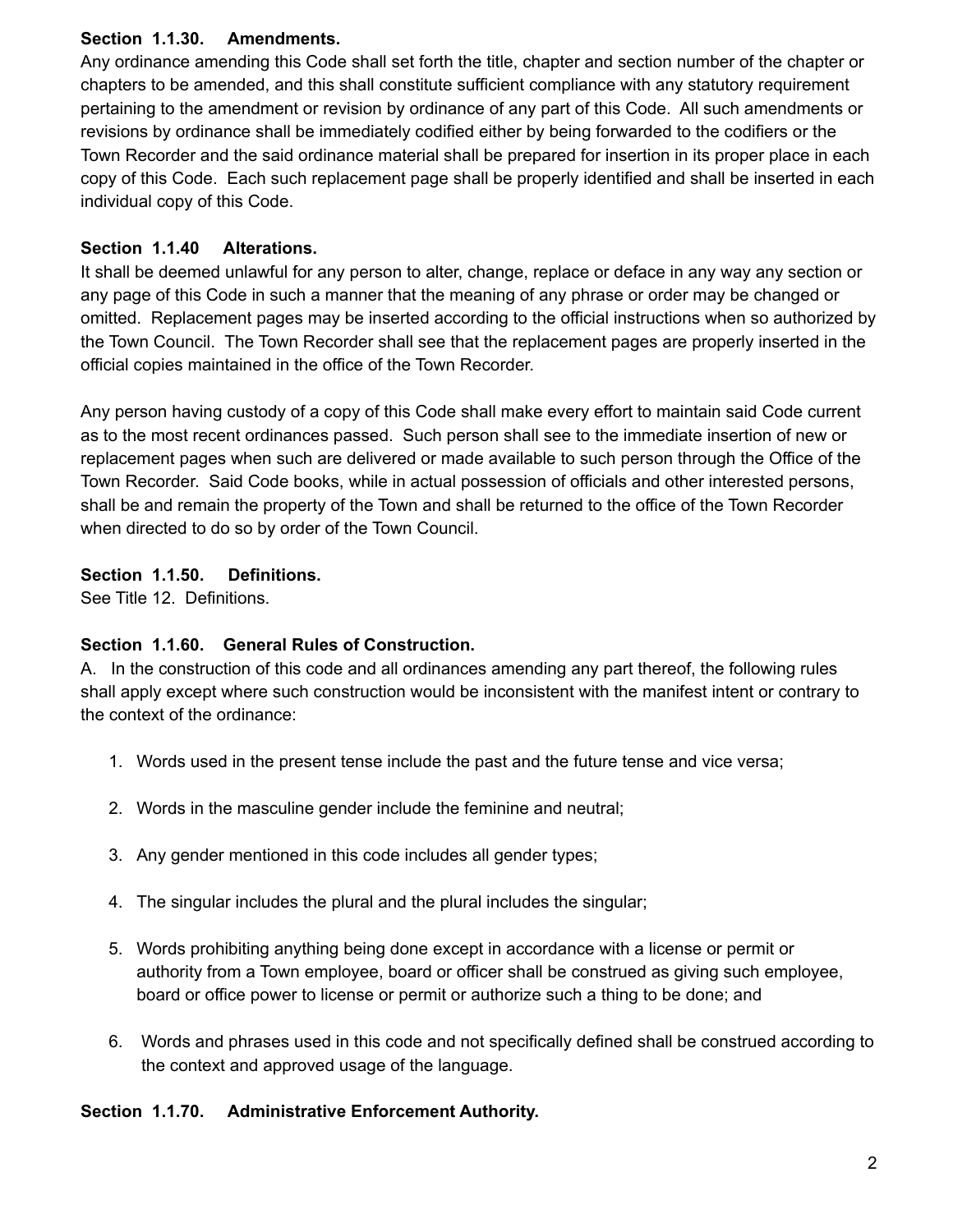### **Section 1.1.30. Amendments.**

Any ordinance amending this Code shall set forth the title, chapter and section number of the chapter or chapters to be amended, and this shall constitute sufficient compliance with any statutory requirement pertaining to the amendment or revision by ordinance of any part of this Code. All such amendments or revisions by ordinance shall be immediately codified either by being forwarded to the codifiers or the Town Recorder and the said ordinance material shall be prepared for insertion in its proper place in each copy of this Code. Each such replacement page shall be properly identified and shall be inserted in each individual copy of this Code.

### **Section 1.1.40 Alterations.**

It shall be deemed unlawful for any person to alter, change, replace or deface in any way any section or any page of this Code in such a manner that the meaning of any phrase or order may be changed or omitted. Replacement pages may be inserted according to the official instructions when so authorized by the Town Council. The Town Recorder shall see that the replacement pages are properly inserted in the official copies maintained in the office of the Town Recorder.

Any person having custody of a copy of this Code shall make every effort to maintain said Code current as to the most recent ordinances passed. Such person shall see to the immediate insertion of new or replacement pages when such are delivered or made available to such person through the Office of the Town Recorder. Said Code books, while in actual possession of officials and other interested persons, shall be and remain the property of the Town and shall be returned to the office of the Town Recorder when directed to do so by order of the Town Council.

### **Section 1.1.50. Definitions.**

See Title 12. Definitions.

### **Section 1.1.60. General Rules of Construction.**

A. In the construction of this code and all ordinances amending any part thereof, the following rules shall apply except where such construction would be inconsistent with the manifest intent or contrary to the context of the ordinance:

- 1. Words used in the present tense include the past and the future tense and vice versa;
- 2. Words in the masculine gender include the feminine and neutral;
- 3. Any gender mentioned in this code includes all gender types;
- 4. The singular includes the plural and the plural includes the singular;
- 5. Words prohibiting anything being done except in accordance with a license or permit or authority from a Town employee, board or officer shall be construed as giving such employee, board or office power to license or permit or authorize such a thing to be done; and
- 6. Words and phrases used in this code and not specifically defined shall be construed according to the context and approved usage of the language.

### **Section 1.1.70. Administrative Enforcement Authority.**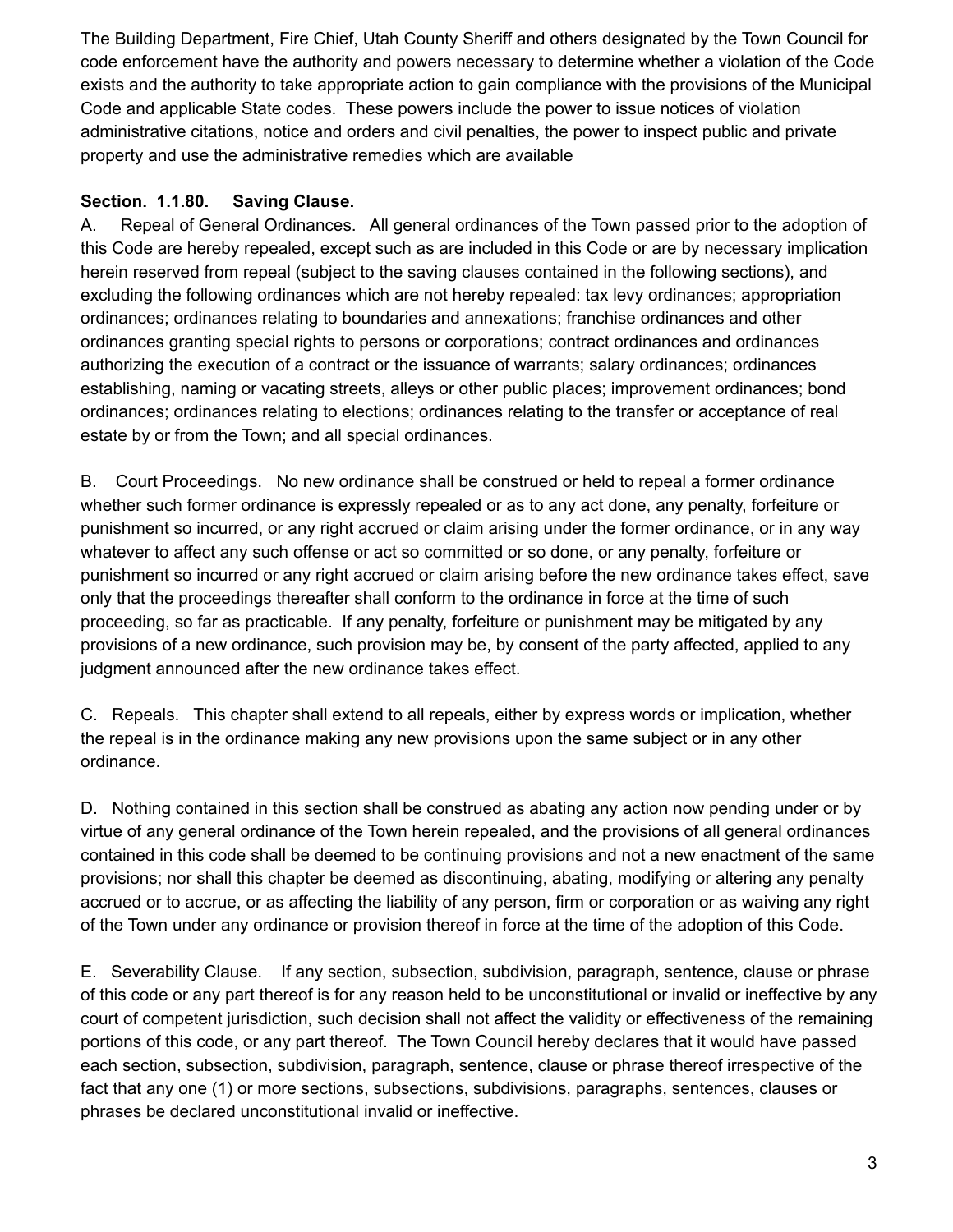The Building Department, Fire Chief, Utah County Sheriff and others designated by the Town Council for code enforcement have the authority and powers necessary to determine whether a violation of the Code exists and the authority to take appropriate action to gain compliance with the provisions of the Municipal Code and applicable State codes. These powers include the power to issue notices of violation administrative citations, notice and orders and civil penalties, the power to inspect public and private property and use the administrative remedies which are available

### **Section. 1.1.80. Saving Clause.**

A. Repeal of General Ordinances. All general ordinances of the Town passed prior to the adoption of this Code are hereby repealed, except such as are included in this Code or are by necessary implication herein reserved from repeal (subject to the saving clauses contained in the following sections), and excluding the following ordinances which are not hereby repealed: tax levy ordinances; appropriation ordinances; ordinances relating to boundaries and annexations; franchise ordinances and other ordinances granting special rights to persons or corporations; contract ordinances and ordinances authorizing the execution of a contract or the issuance of warrants; salary ordinances; ordinances establishing, naming or vacating streets, alleys or other public places; improvement ordinances; bond ordinances; ordinances relating to elections; ordinances relating to the transfer or acceptance of real estate by or from the Town; and all special ordinances.

B. Court Proceedings. No new ordinance shall be construed or held to repeal a former ordinance whether such former ordinance is expressly repealed or as to any act done, any penalty, forfeiture or punishment so incurred, or any right accrued or claim arising under the former ordinance, or in any way whatever to affect any such offense or act so committed or so done, or any penalty, forfeiture or punishment so incurred or any right accrued or claim arising before the new ordinance takes effect, save only that the proceedings thereafter shall conform to the ordinance in force at the time of such proceeding, so far as practicable. If any penalty, forfeiture or punishment may be mitigated by any provisions of a new ordinance, such provision may be, by consent of the party affected, applied to any judgment announced after the new ordinance takes effect.

C. Repeals. This chapter shall extend to all repeals, either by express words or implication, whether the repeal is in the ordinance making any new provisions upon the same subject or in any other ordinance.

D. Nothing contained in this section shall be construed as abating any action now pending under or by virtue of any general ordinance of the Town herein repealed, and the provisions of all general ordinances contained in this code shall be deemed to be continuing provisions and not a new enactment of the same provisions; nor shall this chapter be deemed as discontinuing, abating, modifying or altering any penalty accrued or to accrue, or as affecting the liability of any person, firm or corporation or as waiving any right of the Town under any ordinance or provision thereof in force at the time of the adoption of this Code.

E. Severability Clause. If any section, subsection, subdivision, paragraph, sentence, clause or phrase of this code or any part thereof is for any reason held to be unconstitutional or invalid or ineffective by any court of competent jurisdiction, such decision shall not affect the validity or effectiveness of the remaining portions of this code, or any part thereof. The Town Council hereby declares that it would have passed each section, subsection, subdivision, paragraph, sentence, clause or phrase thereof irrespective of the fact that any one (1) or more sections, subsections, subdivisions, paragraphs, sentences, clauses or phrases be declared unconstitutional invalid or ineffective.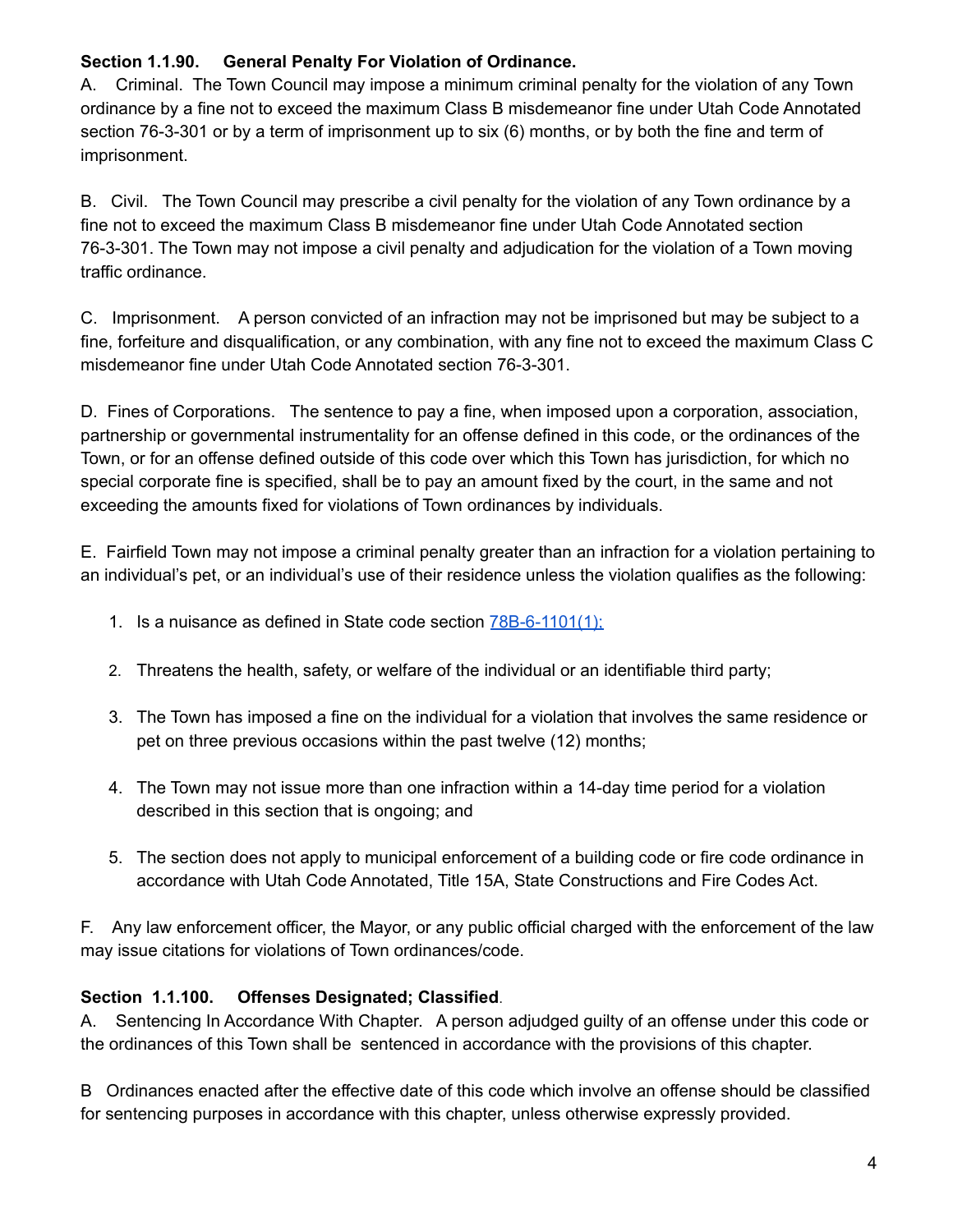### **Section 1.1.90. General Penalty For Violation of Ordinance.**

A. Criminal. The Town Council may impose a minimum criminal penalty for the violation of any Town ordinance by a fine not to exceed the maximum Class B misdemeanor fine under Utah Code Annotated section 76-3-301 or by a term of imprisonment up to six (6) months, or by both the fine and term of imprisonment.

B. Civil. The Town Council may prescribe a civil penalty for the violation of any Town ordinance by a fine not to exceed the maximum Class B misdemeanor fine under Utah Code Annotated section 76-3-301. The Town may not impose a civil penalty and adjudication for the violation of a Town moving traffic ordinance.

C. Imprisonment. A person convicted of an infraction may not be imprisoned but may be subject to a fine, forfeiture and disqualification, or any combination, with any fine not to exceed the maximum Class C misdemeanor fine under Utah Code Annotated section 76-3-301.

D. Fines of Corporations. The sentence to pay a fine, when imposed upon a corporation, association, partnership or governmental instrumentality for an offense defined in this code, or the ordinances of the Town, or for an offense defined outside of this code over which this Town has jurisdiction, for which no special corporate fine is specified, shall be to pay an amount fixed by the court, in the same and not exceeding the amounts fixed for violations of Town ordinances by individuals.

E. Fairfield Town may not impose a criminal penalty greater than an infraction for a violation pertaining to an individual's pet, or an individual's use of their residence unless the violation qualifies as the following:

- 1. Is a nuisance as defined in State code section [78B-6-1101\(1\);](https://le.utah.gov/xcode/Title78B/Chapter6/78B-6-S1101.html?v=C78B-6-S1101_2019051420190514#78B-6-1101(1))
- 2. Threatens the health, safety, or welfare of the individual or an identifiable third party;
- 3. The Town has imposed a fine on the individual for a violation that involves the same residence or pet on three previous occasions within the past twelve (12) months;
- 4. The Town may not issue more than one infraction within a 14-day time period for a violation described in this section that is ongoing; and
- 5. The section does not apply to municipal enforcement of a building code or fire code ordinance in accordance with Utah Code Annotated, Title 15A, State Constructions and Fire Codes Act.

F. Any law enforcement officer, the Mayor, or any public official charged with the enforcement of the law may issue citations for violations of Town ordinances/code.

### **Section 1.1.100. Offenses Designated; Classified**.

A. Sentencing In Accordance With Chapter. A person adjudged guilty of an offense under this code or the ordinances of this Town shall be sentenced in accordance with the provisions of this chapter.

B Ordinances enacted after the effective date of this code which involve an offense should be classified for sentencing purposes in accordance with this chapter, unless otherwise expressly provided.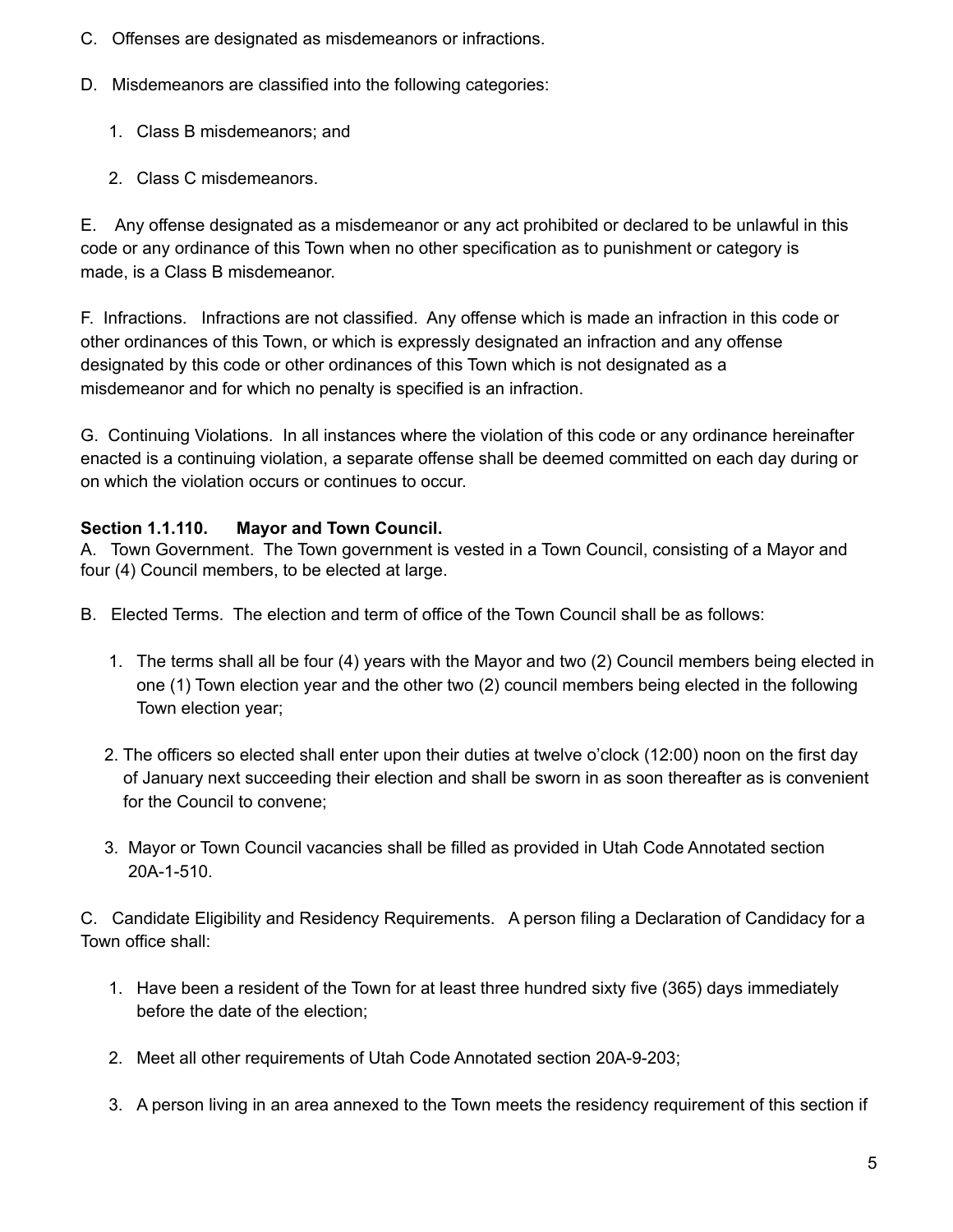- C. Offenses are designated as misdemeanors or infractions.
- D. Misdemeanors are classified into the following categories:
	- 1. Class B misdemeanors; and
	- 2. Class C misdemeanors.

E. Any offense designated as a misdemeanor or any act prohibited or declared to be unlawful in this code or any ordinance of this Town when no other specification as to punishment or category is made, is a Class B misdemeanor.

F. Infractions. Infractions are not classified. Any offense which is made an infraction in this code or other ordinances of this Town, or which is expressly designated an infraction and any offense designated by this code or other ordinances of this Town which is not designated as a misdemeanor and for which no penalty is specified is an infraction.

G. Continuing Violations. In all instances where the violation of this code or any ordinance hereinafter enacted is a continuing violation, a separate offense shall be deemed committed on each day during or on which the violation occurs or continues to occur.

### **Section 1.1.110. Mayor and Town Council.**

A. Town Government. The Town government is vested in a Town Council, consisting of a Mayor and four (4) Council members, to be elected at large.

- B. Elected Terms. The election and term of office of the Town Council shall be as follows:
	- 1. The terms shall all be four (4) years with the Mayor and two (2) Council members being elected in one (1) Town election year and the other two (2) council members being elected in the following Town election year;
	- 2. The officers so elected shall enter upon their duties at twelve o'clock (12:00) noon on the first day of January next succeeding their election and shall be sworn in as soon thereafter as is convenient for the Council to convene;
	- 3. Mayor or Town Council vacancies shall be filled as provided in Utah Code Annotated section 20A-1-510.

C. Candidate Eligibility and Residency Requirements. A person filing a Declaration of Candidacy for a Town office shall:

- 1. Have been a resident of the Town for at least three hundred sixty five (365) days immediately before the date of the election;
- 2. Meet all other requirements of Utah Code Annotated section 20A-9-203;
- 3. A person living in an area annexed to the Town meets the residency requirement of this section if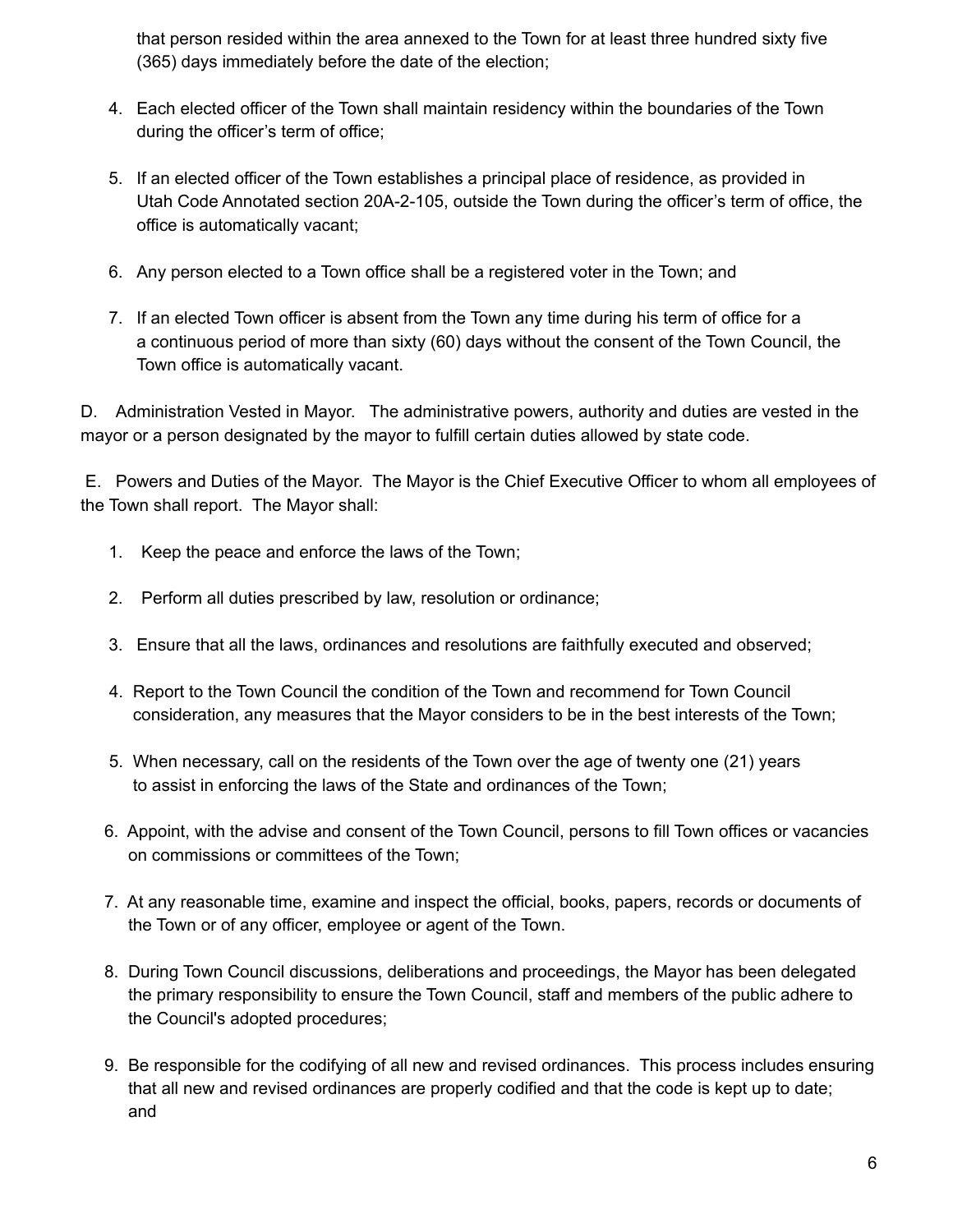that person resided within the area annexed to the Town for at least three hundred sixty five (365) days immediately before the date of the election;

- 4. Each elected officer of the Town shall maintain residency within the boundaries of the Town during the officer's term of office;
- 5. If an elected officer of the Town establishes a principal place of residence, as provided in Utah Code Annotated section 20A-2-105, outside the Town during the officer's term of office, the office is automatically vacant;
- 6. Any person elected to a Town office shall be a registered voter in the Town; and
- 7. If an elected Town officer is absent from the Town any time during his term of office for a a continuous period of more than sixty (60) days without the consent of the Town Council, the Town office is automatically vacant.

D. Administration Vested in Mayor. The administrative powers, authority and duties are vested in the mayor or a person designated by the mayor to fulfill certain duties allowed by state code.

E. Powers and Duties of the Mayor. The Mayor is the Chief Executive Officer to whom all employees of the Town shall report. The Mayor shall:

- 1. Keep the peace and enforce the laws of the Town;
- 2. Perform all duties prescribed by law, resolution or ordinance;
- 3. Ensure that all the laws, ordinances and resolutions are faithfully executed and observed;
- 4. Report to the Town Council the condition of the Town and recommend for Town Council consideration, any measures that the Mayor considers to be in the best interests of the Town;
- 5. When necessary, call on the residents of the Town over the age of twenty one (21) years to assist in enforcing the laws of the State and ordinances of the Town;
- 6. Appoint, with the advise and consent of the Town Council, persons to fill Town offices or vacancies on commissions or committees of the Town;
- 7. At any reasonable time, examine and inspect the official, books, papers, records or documents of the Town or of any officer, employee or agent of the Town.
- 8. During Town Council discussions, deliberations and proceedings, the Mayor has been delegated the primary responsibility to ensure the Town Council, staff and members of the public adhere to the Council's adopted procedures;
- 9. Be responsible for the codifying of all new and revised ordinances. This process includes ensuring that all new and revised ordinances are properly codified and that the code is kept up to date; and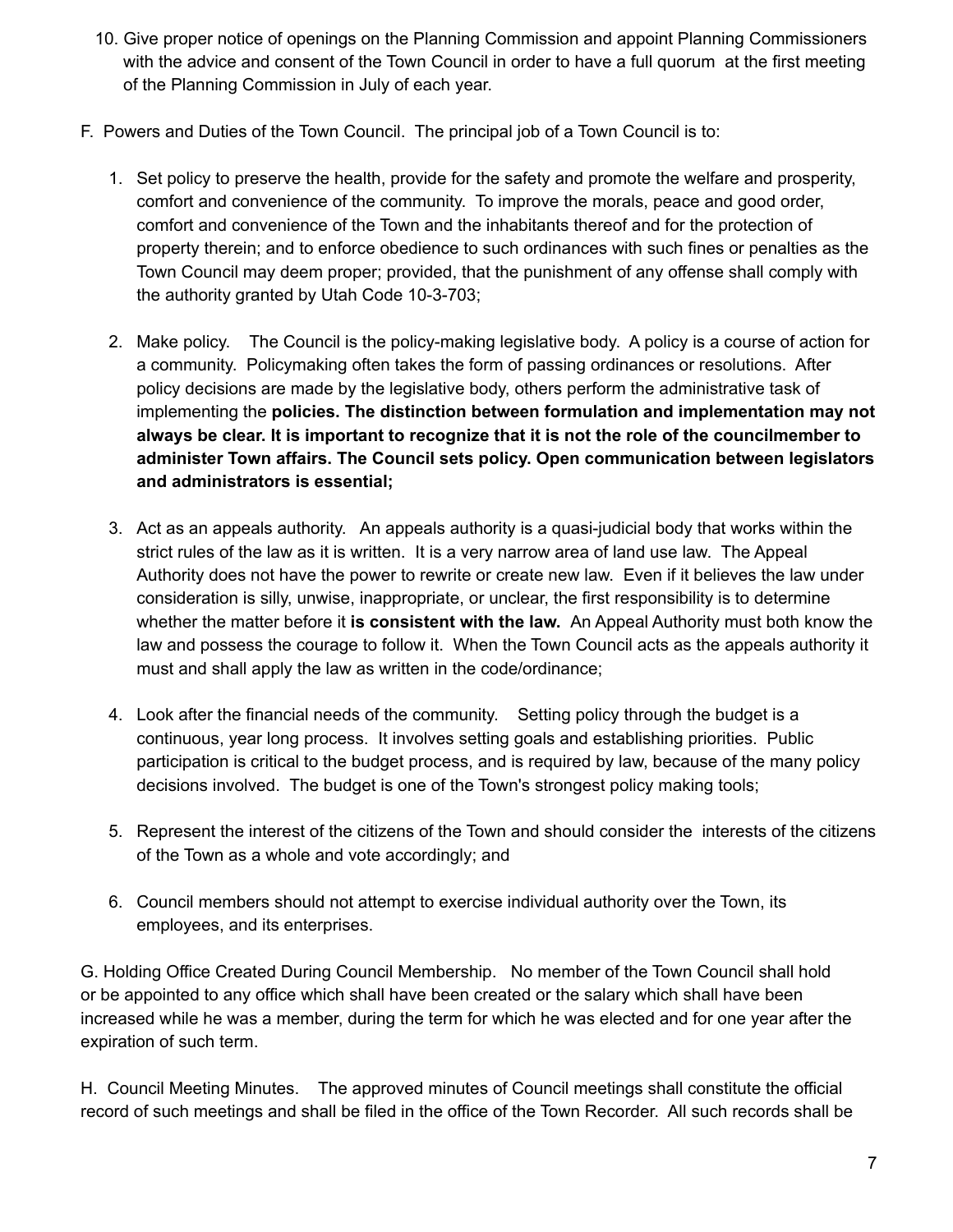- 10. Give proper notice of openings on the Planning Commission and appoint Planning Commissioners with the advice and consent of the Town Council in order to have a full quorum at the first meeting of the Planning Commission in July of each year.
- F. Powers and Duties of the Town Council. The principal job of a Town Council is to:
	- 1. Set policy to preserve the health, provide for the safety and promote the welfare and prosperity, comfort and convenience of the community. To improve the morals, peace and good order, comfort and convenience of the Town and the inhabitants thereof and for the protection of property therein; and to enforce obedience to such ordinances with such fines or penalties as the Town Council may deem proper; provided, that the punishment of any offense shall comply with the authority granted by Utah Code 10-3-703;
	- 2. Make policy. The Council is the policy-making legislative body. A policy is a course of action for a community. Policymaking often takes the form of passing ordinances or resolutions. After policy decisions are made by the legislative body, others perform the administrative task of implementing the **policies. The distinction between formulation and implementation may not always be clear. It is important to recognize that it is not the role of the councilmember to administer Town affairs. The Council sets policy. Open communication between legislators and administrators is essential;**
	- 3. Act as an appeals authority. An appeals authority is a quasi-judicial body that works within the strict rules of the law as it is written. It is a very narrow area of land use law. The Appeal Authority does not have the power to rewrite or create new law. Even if it believes the law under consideration is silly, unwise, inappropriate, or unclear, the first responsibility is to determine whether the matter before it **is consistent with the law.** An Appeal Authority must both know the law and possess the courage to follow it. When the Town Council acts as the appeals authority it must and shall apply the law as written in the code/ordinance;
	- 4. Look after the financial needs of the community. Setting policy through the budget is a continuous, year long process. It involves setting goals and establishing priorities. Public participation is critical to the budget process, and is required by law, because of the many policy decisions involved. The budget is one of the Town's strongest policy making tools;
	- 5. Represent the interest of the citizens of the Town and should consider the interests of the citizens of the Town as a whole and vote accordingly; and
	- 6. Council members should not attempt to exercise individual authority over the Town, its employees, and its enterprises.

G. Holding Office Created During Council Membership. No member of the Town Council shall hold or be appointed to any office which shall have been created or the salary which shall have been increased while he was a member, during the term for which he was elected and for one year after the expiration of such term.

H. Council Meeting Minutes. The approved minutes of Council meetings shall constitute the official record of such meetings and shall be filed in the office of the Town Recorder. All such records shall be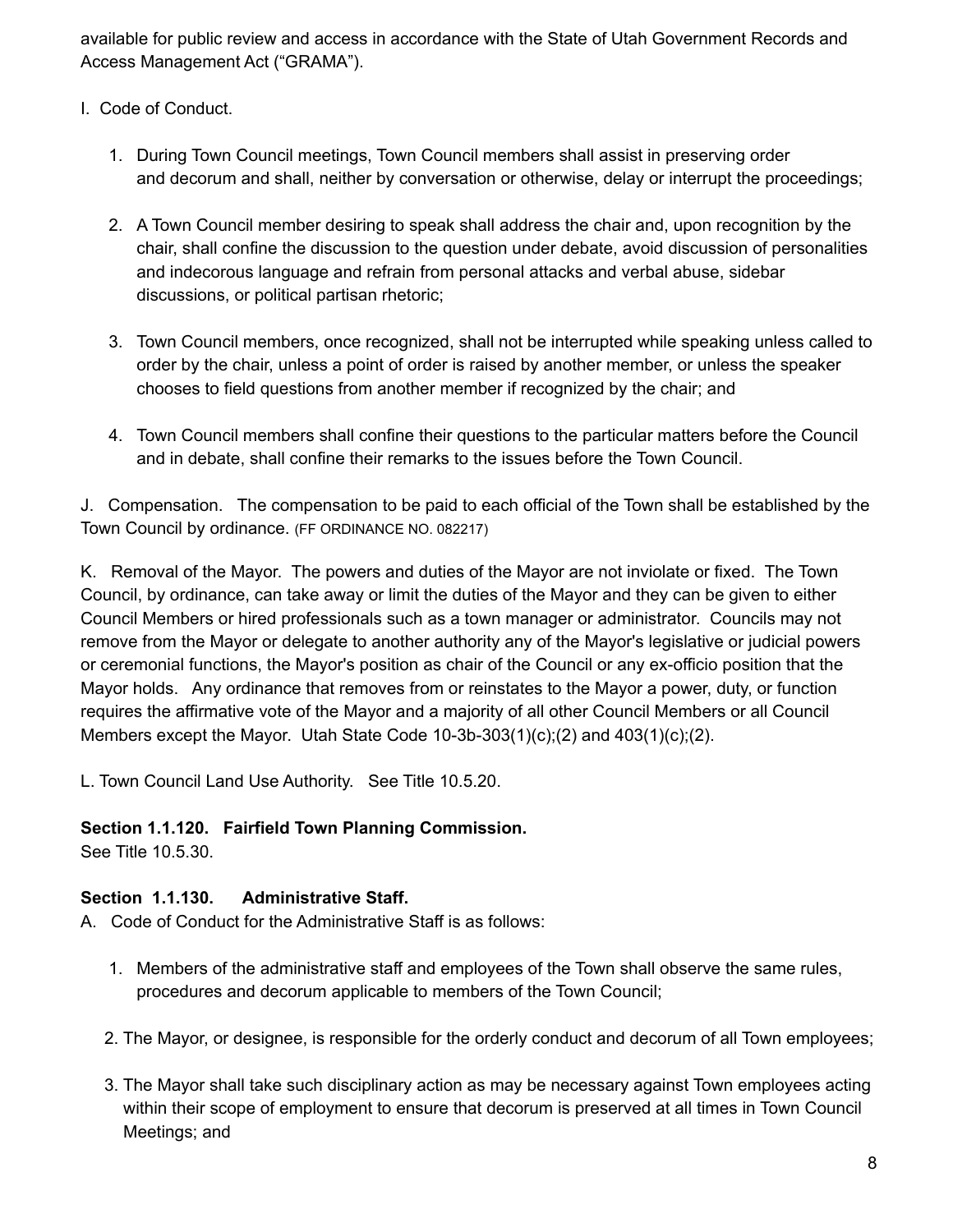available for public review and access in accordance with the State of Utah Government Records and Access Management Act ("GRAMA").

- I. Code of Conduct.
	- 1. During Town Council meetings, Town Council members shall assist in preserving order and decorum and shall, neither by conversation or otherwise, delay or interrupt the proceedings;
	- 2. A Town Council member desiring to speak shall address the chair and, upon recognition by the chair, shall confine the discussion to the question under debate, avoid discussion of personalities and indecorous language and refrain from personal attacks and verbal abuse, sidebar discussions, or political partisan rhetoric;
	- 3. Town Council members, once recognized, shall not be interrupted while speaking unless called to order by the chair, unless a point of order is raised by another member, or unless the speaker chooses to field questions from another member if recognized by the chair; and
	- 4. Town Council members shall confine their questions to the particular matters before the Council and in debate, shall confine their remarks to the issues before the Town Council.

J. Compensation. The compensation to be paid to each official of the Town shall be established by the Town Council by ordinance. (FF ORDINANCE NO. 082217)

K. Removal of the Mayor. The powers and duties of the Mayor are not inviolate or fixed. The Town Council, by ordinance, can take away or limit the duties of the Mayor and they can be given to either Council Members or hired professionals such as a town manager or administrator. Councils may not remove from the Mayor or delegate to another authority any of the Mayor's legislative or judicial powers or ceremonial functions, the Mayor's position as chair of the Council or any ex-officio position that the Mayor holds. Any ordinance that removes from or reinstates to the Mayor a power, duty, or function requires the affirmative vote of the Mayor and a majority of all other Council Members or all Council Members except the Mayor. Utah State Code  $10-3b-303(1)(c)$ ; $(2)$  and  $403(1)(c)$ ; $(2)$ .

L. Town Council Land Use Authority. See Title 10.5.20.

### **Section 1.1.120. Fairfield Town Planning Commission.**

See Title 10.5.30.

### **Section 1.1.130. Administrative Staff.**

- A. Code of Conduct for the Administrative Staff is as follows:
	- 1. Members of the administrative staff and employees of the Town shall observe the same rules, procedures and decorum applicable to members of the Town Council;
	- 2. The Mayor, or designee, is responsible for the orderly conduct and decorum of all Town employees;
	- 3. The Mayor shall take such disciplinary action as may be necessary against Town employees acting within their scope of employment to ensure that decorum is preserved at all times in Town Council Meetings; and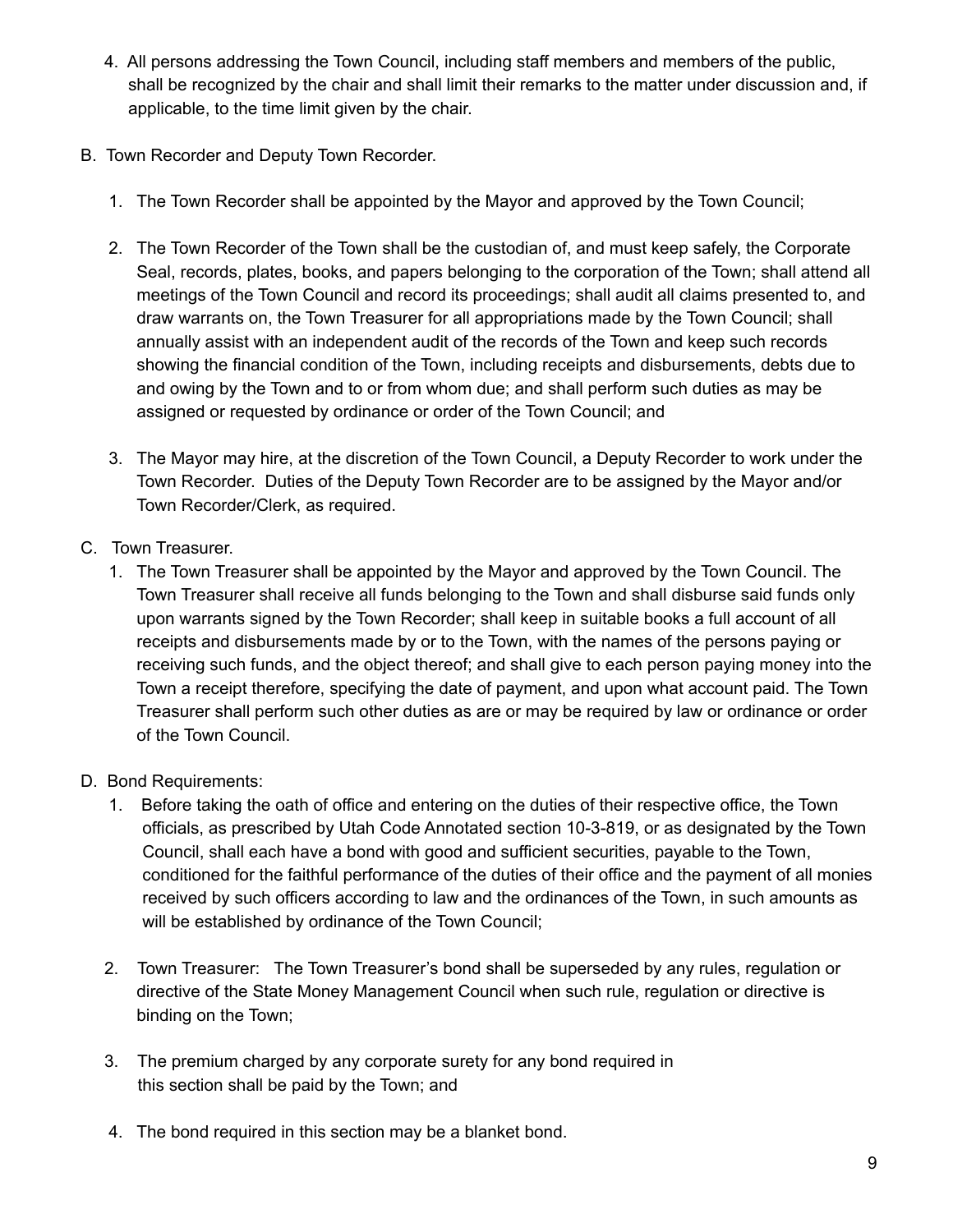- 4. All persons addressing the Town Council, including staff members and members of the public, shall be recognized by the chair and shall limit their remarks to the matter under discussion and, if applicable, to the time limit given by the chair.
- B. Town Recorder and Deputy Town Recorder.
	- 1. The Town Recorder shall be appointed by the Mayor and approved by the Town Council;
	- 2. The Town Recorder of the Town shall be the custodian of, and must keep safely, the Corporate Seal, records, plates, books, and papers belonging to the corporation of the Town; shall attend all meetings of the Town Council and record its proceedings; shall audit all claims presented to, and draw warrants on, the Town Treasurer for all appropriations made by the Town Council; shall annually assist with an independent audit of the records of the Town and keep such records showing the financial condition of the Town, including receipts and disbursements, debts due to and owing by the Town and to or from whom due; and shall perform such duties as may be assigned or requested by ordinance or order of the Town Council; and
	- 3. The Mayor may hire, at the discretion of the Town Council, a Deputy Recorder to work under the Town Recorder. Duties of the Deputy Town Recorder are to be assigned by the Mayor and/or Town Recorder/Clerk, as required.
- C. Town Treasurer.
	- 1. The Town Treasurer shall be appointed by the Mayor and approved by the Town Council. The Town Treasurer shall receive all funds belonging to the Town and shall disburse said funds only upon warrants signed by the Town Recorder; shall keep in suitable books a full account of all receipts and disbursements made by or to the Town, with the names of the persons paying or receiving such funds, and the object thereof; and shall give to each person paying money into the Town a receipt therefore, specifying the date of payment, and upon what account paid. The Town Treasurer shall perform such other duties as are or may be required by law or ordinance or order of the Town Council.
- D. Bond Requirements:
	- 1. Before taking the oath of office and entering on the duties of their respective office, the Town officials, as prescribed by Utah Code Annotated section 10-3-819, or as designated by the Town Council, shall each have a bond with good and sufficient securities, payable to the Town, conditioned for the faithful performance of the duties of their office and the payment of all monies received by such officers according to law and the ordinances of the Town, in such amounts as will be established by ordinance of the Town Council;
	- 2. Town Treasurer: The Town Treasurer's bond shall be superseded by any rules, regulation or directive of the State Money Management Council when such rule, regulation or directive is binding on the Town;
	- 3. The premium charged by any corporate surety for any bond required in this section shall be paid by the Town; and
	- 4. The bond required in this section may be a blanket bond.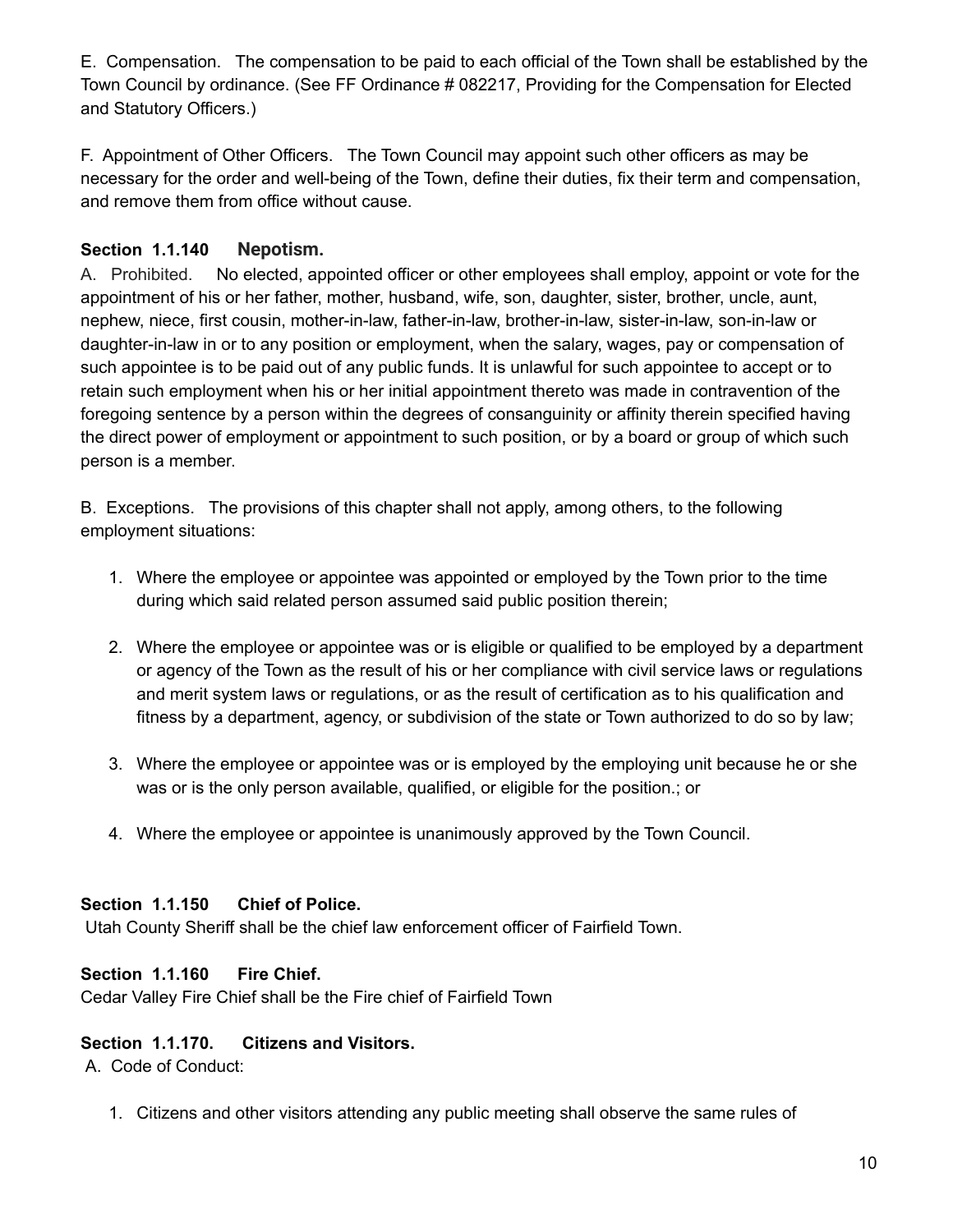E. Compensation. The compensation to be paid to each official of the Town shall be established by the Town Council by ordinance. (See FF Ordinance # 082217, Providing for the Compensation for Elected and Statutory Officers.)

F. Appointment of Other Officers. The Town Council may appoint such other officers as may be necessary for the order and well-being of the Town, define their duties, fix their term and compensation, and remove them from office without cause.

### **Section 1.1.140 Nepotism.**

A. Prohibited. No elected, appointed officer or other employees shall employ, appoint or vote for the appointment of his or her father, mother, husband, wife, son, daughter, sister, brother, uncle, aunt, nephew, niece, first cousin, mother-in-law, father-in-law, brother-in-law, sister-in-law, son-in-law or daughter-in-law in or to any position or employment, when the salary, wages, pay or compensation of such appointee is to be paid out of any public funds. It is unlawful for such appointee to accept or to retain such employment when his or her initial appointment thereto was made in contravention of the foregoing sentence by a person within the degrees of consanguinity or affinity therein specified having the direct power of employment or appointment to such position, or by a board or group of which such person is a member.

B. Exceptions. The provisions of this chapter shall not apply, among others, to the following employment situations:

- 1. Where the employee or appointee was appointed or employed by the Town prior to the time during which said related person assumed said public position therein;
- 2. Where the employee or appointee was or is eligible or qualified to be employed by a department or agency of the Town as the result of his or her compliance with civil service laws or regulations and merit system laws or regulations, or as the result of certification as to his qualification and fitness by a department, agency, or subdivision of the state or Town authorized to do so by law;
- 3. Where the employee or appointee was or is employed by the employing unit because he or she was or is the only person available, qualified, or eligible for the position.; or
- 4. Where the employee or appointee is unanimously approved by the Town Council.

### **Section 1.1.150 Chief of Police.**

Utah County Sheriff shall be the chief law enforcement officer of Fairfield Town.

### **Section 1.1.160 Fire Chief.**

Cedar Valley Fire Chief shall be the Fire chief of Fairfield Town

### **Section 1.1.170. Citizens and Visitors.**

A. Code of Conduct:

1. Citizens and other visitors attending any public meeting shall observe the same rules of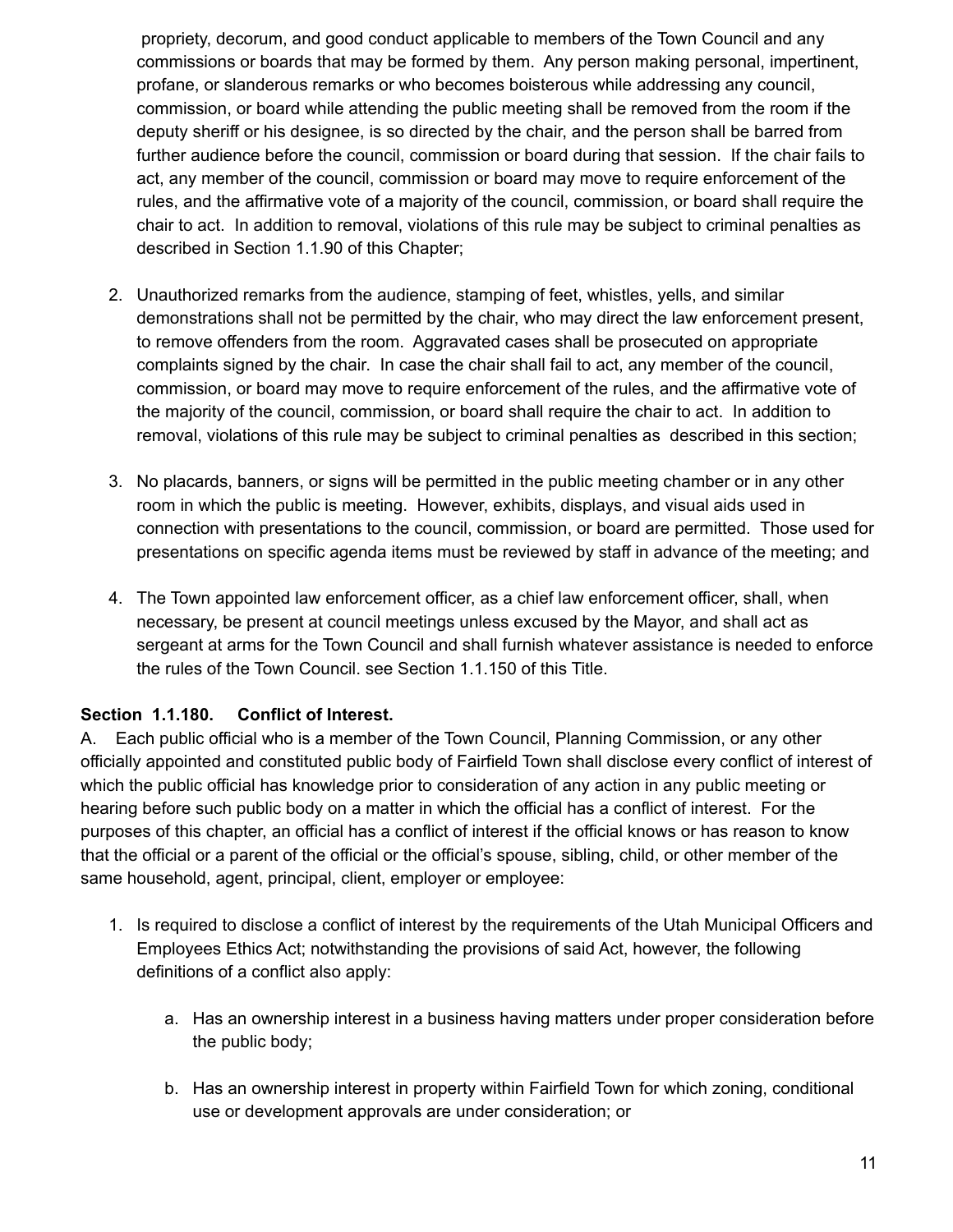propriety, decorum, and good conduct applicable to members of the Town Council and any commissions or boards that may be formed by them. Any person making personal, impertinent, profane, or slanderous remarks or who becomes boisterous while addressing any council, commission, or board while attending the public meeting shall be removed from the room if the deputy sheriff or his designee, is so directed by the chair, and the person shall be barred from further audience before the council, commission or board during that session. If the chair fails to act, any member of the council, commission or board may move to require enforcement of the rules, and the affirmative vote of a majority of the council, commission, or board shall require the chair to act. In addition to removal, violations of this rule may be subject to criminal penalties as described in Section 1.1.90 of this Chapter;

- 2. Unauthorized remarks from the audience, stamping of feet, whistles, yells, and similar demonstrations shall not be permitted by the chair, who may direct the law enforcement present, to remove offenders from the room. Aggravated cases shall be prosecuted on appropriate complaints signed by the chair. In case the chair shall fail to act, any member of the council, commission, or board may move to require enforcement of the rules, and the affirmative vote of the majority of the council, commission, or board shall require the chair to act. In addition to removal, violations of this rule may be subject to criminal penalties as described in this section;
- 3. No placards, banners, or signs will be permitted in the public meeting chamber or in any other room in which the public is meeting. However, exhibits, displays, and visual aids used in connection with presentations to the council, commission, or board are permitted. Those used for presentations on specific agenda items must be reviewed by staff in advance of the meeting; and
- 4. The Town appointed law enforcement officer, as a chief law enforcement officer, shall, when necessary, be present at council meetings unless excused by the Mayor, and shall act as sergeant at arms for the Town Council and shall furnish whatever assistance is needed to enforce the rules of the Town Council. see Section 1.1.150 of this Title.

### **Section 1.1.180. Conflict of Interest.**

A. Each public official who is a member of the Town Council, Planning Commission, or any other officially appointed and constituted public body of Fairfield Town shall disclose every conflict of interest of which the public official has knowledge prior to consideration of any action in any public meeting or hearing before such public body on a matter in which the official has a conflict of interest. For the purposes of this chapter, an official has a conflict of interest if the official knows or has reason to know that the official or a parent of the official or the official's spouse, sibling, child, or other member of the same household, agent, principal, client, employer or employee:

- 1. Is required to disclose a conflict of interest by the requirements of the Utah Municipal Officers and Employees Ethics Act; notwithstanding the provisions of said Act, however, the following definitions of a conflict also apply:
	- a. Has an ownership interest in a business having matters under proper consideration before the public body;
	- b. Has an ownership interest in property within Fairfield Town for which zoning, conditional use or development approvals are under consideration; or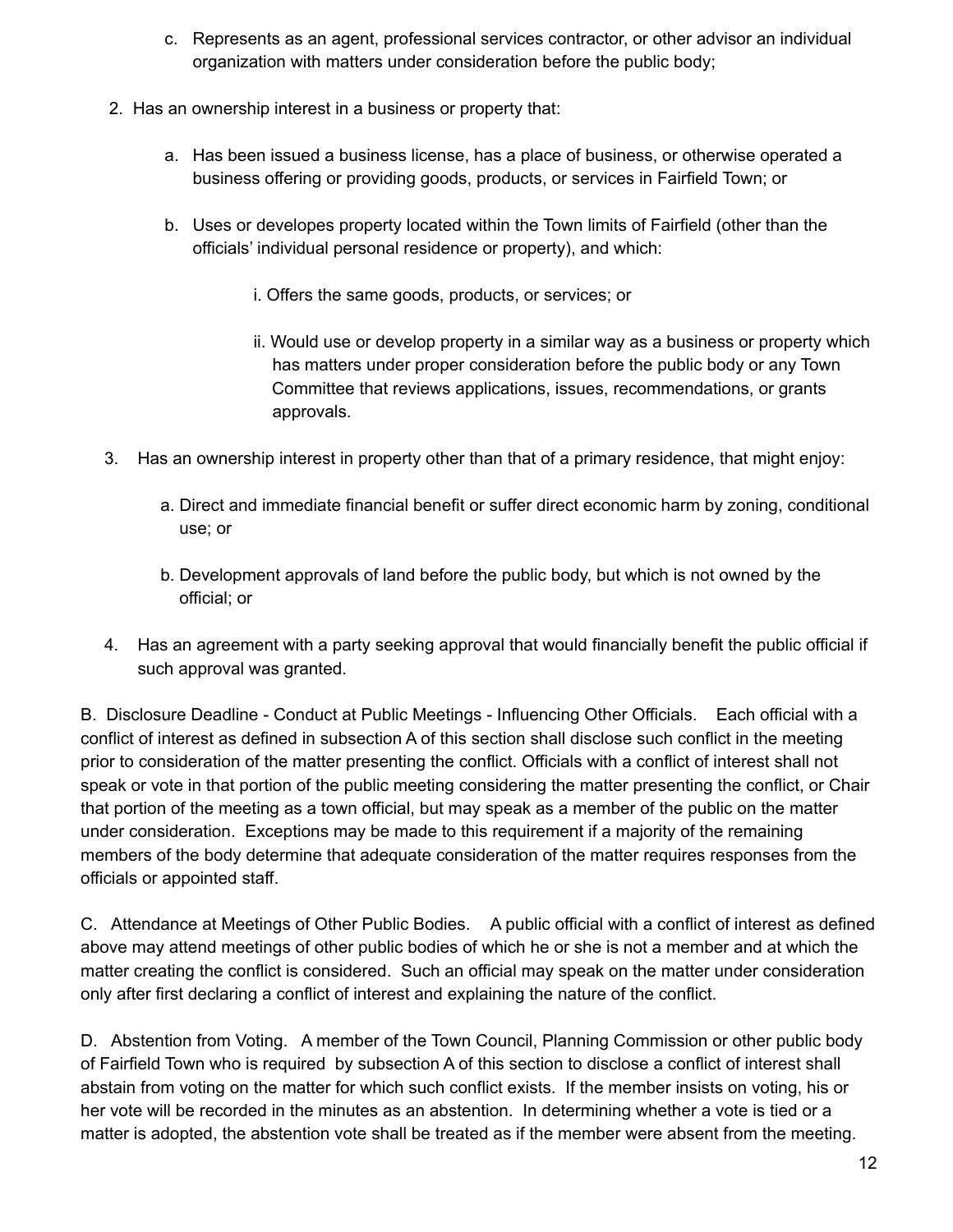- c. Represents as an agent, professional services contractor, or other advisor an individual organization with matters under consideration before the public body;
- 2. Has an ownership interest in a business or property that:
	- a. Has been issued a business license, has a place of business, or otherwise operated a business offering or providing goods, products, or services in Fairfield Town; or
	- b. Uses or developes property located within the Town limits of Fairfield (other than the officials' individual personal residence or property), and which:
		- i. Offers the same goods, products, or services; or
		- ii. Would use or develop property in a similar way as a business or property which has matters under proper consideration before the public body or any Town Committee that reviews applications, issues, recommendations, or grants approvals.
- 3. Has an ownership interest in property other than that of a primary residence, that might enjoy:
	- a. Direct and immediate financial benefit or suffer direct economic harm by zoning, conditional use; or
	- b. Development approvals of land before the public body, but which is not owned by the official; or
- 4. Has an agreement with a party seeking approval that would financially benefit the public official if such approval was granted.

B. Disclosure Deadline - Conduct at Public Meetings - Influencing Other Officials. Each official with a conflict of interest as defined in subsection A of this section shall disclose such conflict in the meeting prior to consideration of the matter presenting the conflict. Officials with a conflict of interest shall not speak or vote in that portion of the public meeting considering the matter presenting the conflict, or Chair that portion of the meeting as a town official, but may speak as a member of the public on the matter under consideration. Exceptions may be made to this requirement if a majority of the remaining members of the body determine that adequate consideration of the matter requires responses from the officials or appointed staff.

C. Attendance at Meetings of Other Public Bodies. A public official with a conflict of interest as defined above may attend meetings of other public bodies of which he or she is not a member and at which the matter creating the conflict is considered. Such an official may speak on the matter under consideration only after first declaring a conflict of interest and explaining the nature of the conflict.

D. Abstention from Voting. A member of the Town Council, Planning Commission or other public body of Fairfield Town who is required by subsection A of this section to disclose a conflict of interest shall abstain from voting on the matter for which such conflict exists. If the member insists on voting, his or her vote will be recorded in the minutes as an abstention. In determining whether a vote is tied or a matter is adopted, the abstention vote shall be treated as if the member were absent from the meeting.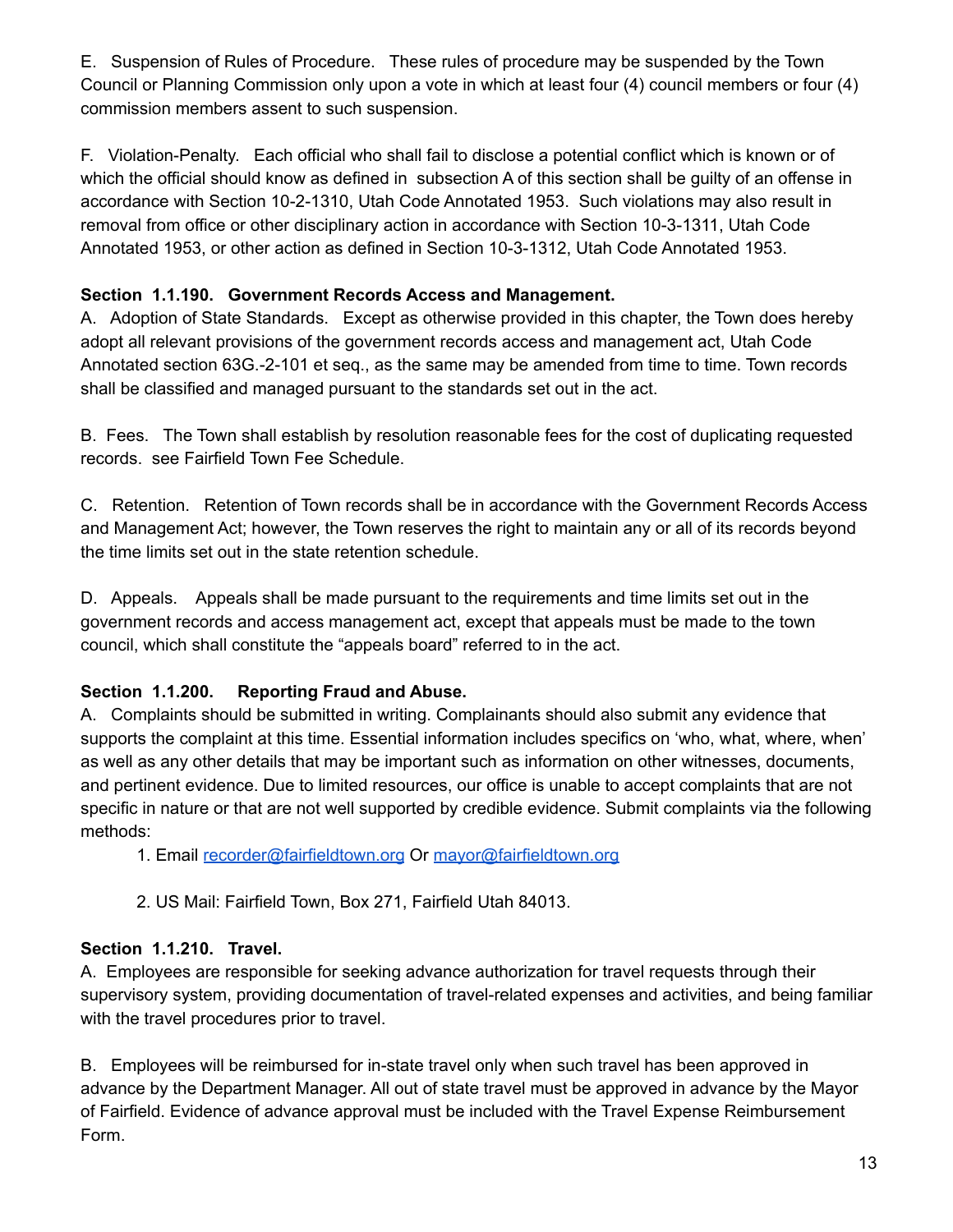E. Suspension of Rules of Procedure. These rules of procedure may be suspended by the Town Council or Planning Commission only upon a vote in which at least four (4) council members or four (4) commission members assent to such suspension.

F. Violation-Penalty. Each official who shall fail to disclose a potential conflict which is known or of which the official should know as defined in subsection A of this section shall be quilty of an offense in accordance with Section 10-2-1310, Utah Code Annotated 1953. Such violations may also result in removal from office or other disciplinary action in accordance with Section 10-3-1311, Utah Code Annotated 1953, or other action as defined in Section 10-3-1312, Utah Code Annotated 1953.

### **Section 1.1.190. Government Records Access and Management.**

A. Adoption of State Standards. Except as otherwise provided in this chapter, the Town does hereby adopt all relevant provisions of the government records access and management act, Utah Code Annotated section 63G.-2-101 et seq., as the same may be amended from time to time. Town records shall be classified and managed pursuant to the standards set out in the act.

B. Fees. The Town shall establish by resolution reasonable fees for the cost of duplicating requested records. see Fairfield Town Fee Schedule.

C. Retention. Retention of Town records shall be in accordance with the Government Records Access and Management Act; however, the Town reserves the right to maintain any or all of its records beyond the time limits set out in the state retention schedule.

D. Appeals. Appeals shall be made pursuant to the requirements and time limits set out in the government records and access management act, except that appeals must be made to the town council, which shall constitute the "appeals board" referred to in the act.

### **Section 1.1.200. Reporting Fraud and Abuse.**

A. Complaints should be submitted in writing. Complainants should also submit any evidence that supports the complaint at this time. Essential information includes specifics on 'who, what, where, when' as well as any other details that may be important such as information on other witnesses, documents, and pertinent evidence. Due to limited resources, our office is unable to accept complaints that are not specific in nature or that are not well supported by credible evidence. Submit complaints via the following methods:

1. Email [recorder@fairfieldtown.org](mailto:recourder@fairfieldtown.org) Or [mayor@fairfieldtown.org](mailto:mayor@fairfieldtown.org)

2. US Mail: Fairfield Town, Box 271, Fairfield Utah 84013.

### **Section 1.1.210. Travel.**

A. Employees are responsible for seeking advance authorization for travel requests through their supervisory system, providing documentation of travel-related expenses and activities, and being familiar with the travel procedures prior to travel.

B. Employees will be reimbursed for in-state travel only when such travel has been approved in advance by the Department Manager. All out of state travel must be approved in advance by the Mayor of Fairfield. Evidence of advance approval must be included with the Travel Expense Reimbursement Form.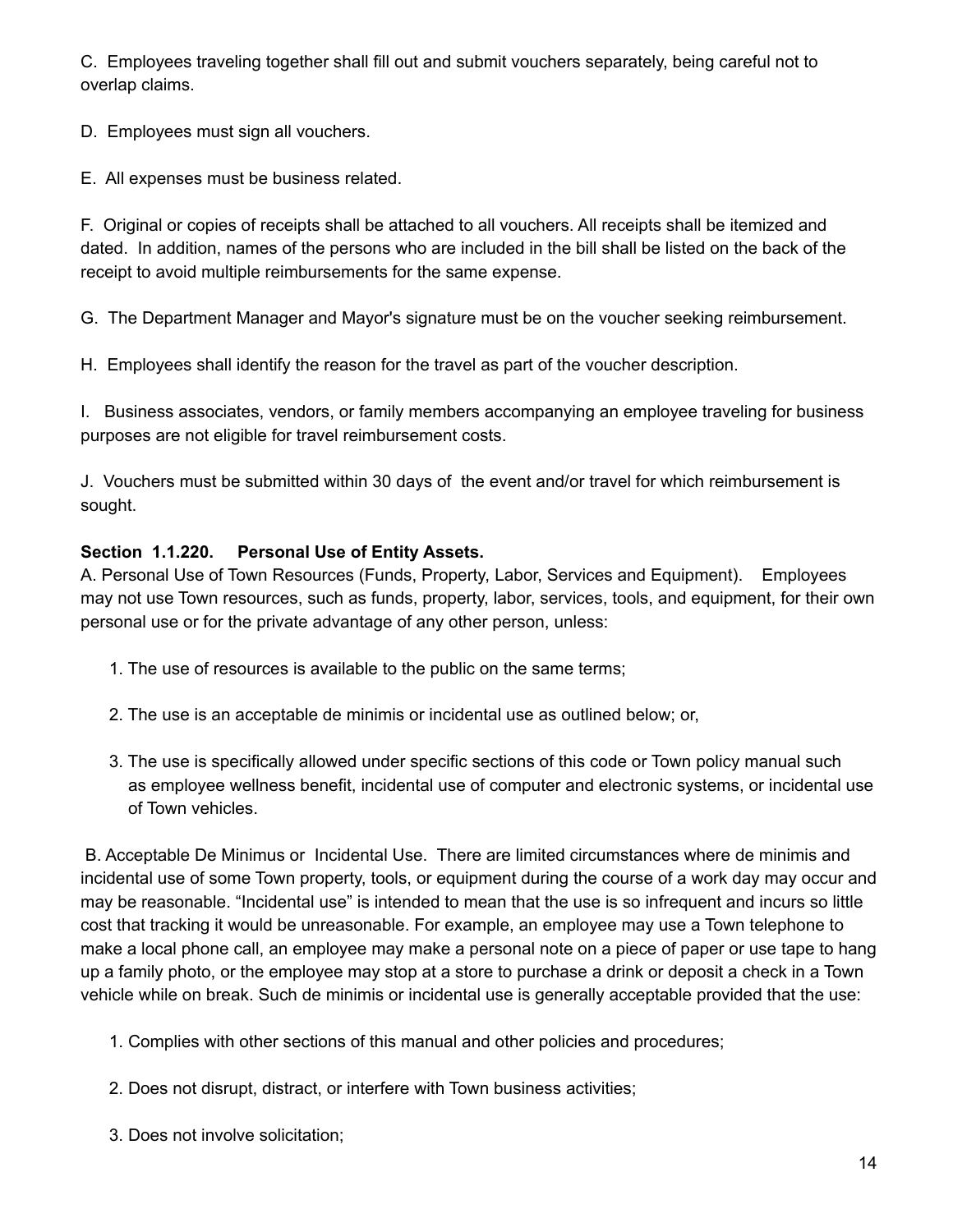C. Employees traveling together shall fill out and submit vouchers separately, being careful not to overlap claims.

D. Employees must sign all vouchers.

E. All expenses must be business related.

F. Original or copies of receipts shall be attached to all vouchers. All receipts shall be itemized and dated. In addition, names of the persons who are included in the bill shall be listed on the back of the receipt to avoid multiple reimbursements for the same expense.

G. The Department Manager and Mayor's signature must be on the voucher seeking reimbursement.

H. Employees shall identify the reason for the travel as part of the voucher description.

I. Business associates, vendors, or family members accompanying an employee traveling for business purposes are not eligible for travel reimbursement costs.

J. Vouchers must be submitted within 30 days of the event and/or travel for which reimbursement is sought.

### **Section 1.1.220. Personal Use of Entity Assets.**

A. Personal Use of Town Resources (Funds, Property, Labor, Services and Equipment). Employees may not use Town resources, such as funds, property, labor, services, tools, and equipment, for their own personal use or for the private advantage of any other person, unless:

- 1. The use of resources is available to the public on the same terms;
- 2. The use is an acceptable de minimis or incidental use as outlined below; or,
- 3. The use is specifically allowed under specific sections of this code or Town policy manual such as employee wellness benefit, incidental use of computer and electronic systems, or incidental use of Town vehicles.

B. Acceptable De Minimus or Incidental Use. There are limited circumstances where de minimis and incidental use of some Town property, tools, or equipment during the course of a work day may occur and may be reasonable. "Incidental use" is intended to mean that the use is so infrequent and incurs so little cost that tracking it would be unreasonable. For example, an employee may use a Town telephone to make a local phone call, an employee may make a personal note on a piece of paper or use tape to hang up a family photo, or the employee may stop at a store to purchase a drink or deposit a check in a Town vehicle while on break. Such de minimis or incidental use is generally acceptable provided that the use:

- 1. Complies with other sections of this manual and other policies and procedures;
- 2. Does not disrupt, distract, or interfere with Town business activities;
- 3. Does not involve solicitation;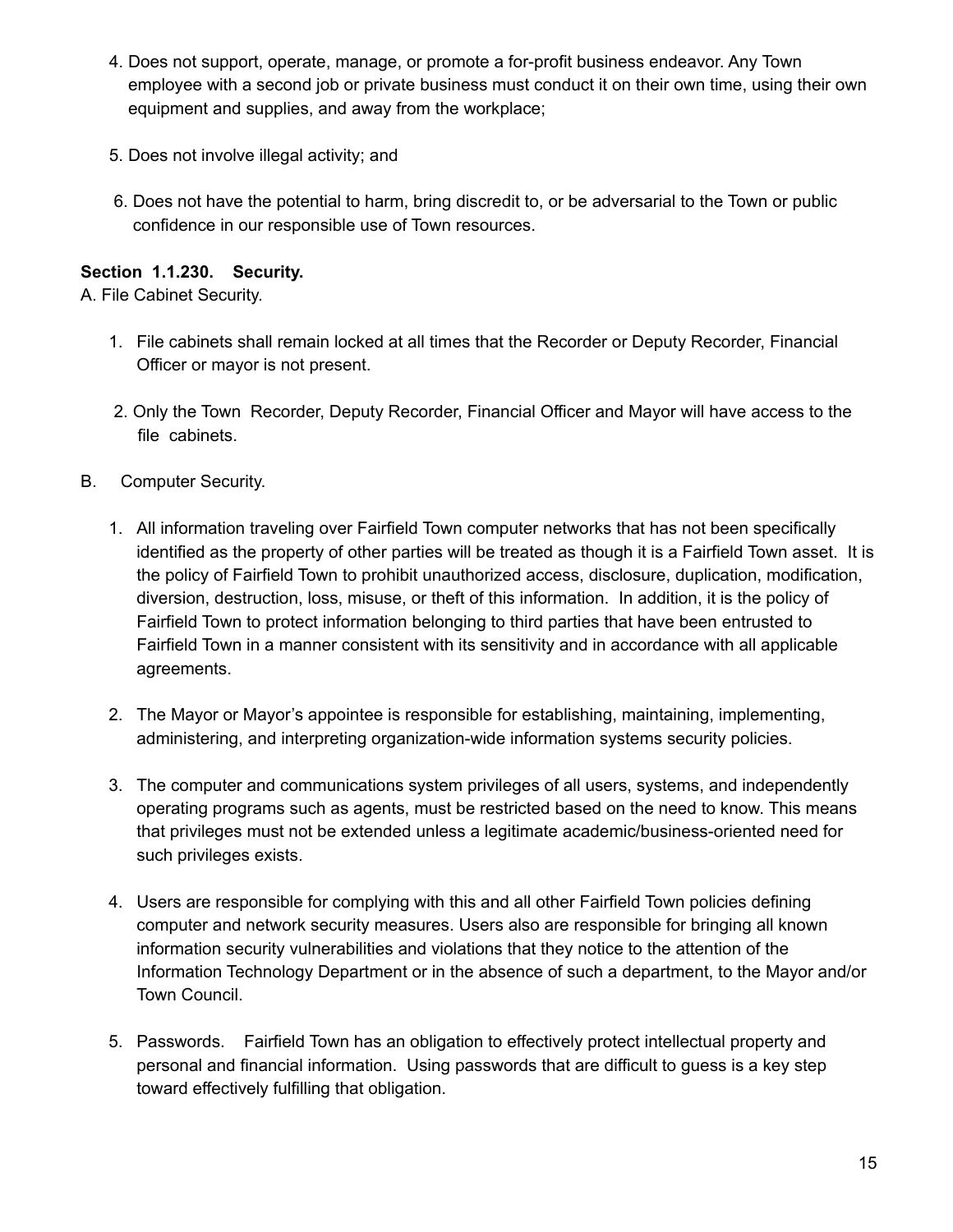- 4. Does not support, operate, manage, or promote a for-profit business endeavor. Any Town employee with a second job or private business must conduct it on their own time, using their own equipment and supplies, and away from the workplace;
- 5. Does not involve illegal activity; and
- 6. Does not have the potential to harm, bring discredit to, or be adversarial to the Town or public confidence in our responsible use of Town resources.

### **Section 1.1.230. Security.**

A. File Cabinet Security.

- 1. File cabinets shall remain locked at all times that the Recorder or Deputy Recorder, Financial Officer or mayor is not present.
- 2. Only the Town Recorder, Deputy Recorder, Financial Officer and Mayor will have access to the file cabinets.
- B. Computer Security.
	- 1. All information traveling over Fairfield Town computer networks that has not been specifically identified as the property of other parties will be treated as though it is a Fairfield Town asset. It is the policy of Fairfield Town to prohibit unauthorized access, disclosure, duplication, modification, diversion, destruction, loss, misuse, or theft of this information. In addition, it is the policy of Fairfield Town to protect information belonging to third parties that have been entrusted to Fairfield Town in a manner consistent with its sensitivity and in accordance with all applicable agreements.
	- 2. The Mayor or Mayor's appointee is responsible for establishing, maintaining, implementing, administering, and interpreting organization-wide information systems security policies.
	- 3. The computer and communications system privileges of all users, systems, and independently operating programs such as agents, must be restricted based on the need to know. This means that privileges must not be extended unless a legitimate academic/business-oriented need for such privileges exists.
	- 4. Users are responsible for complying with this and all other Fairfield Town policies defining computer and network security measures. Users also are responsible for bringing all known information security vulnerabilities and violations that they notice to the attention of the Information Technology Department or in the absence of such a department, to the Mayor and/or Town Council.
	- 5. Passwords. Fairfield Town has an obligation to effectively protect intellectual property and personal and financial information. Using passwords that are difficult to guess is a key step toward effectively fulfilling that obligation.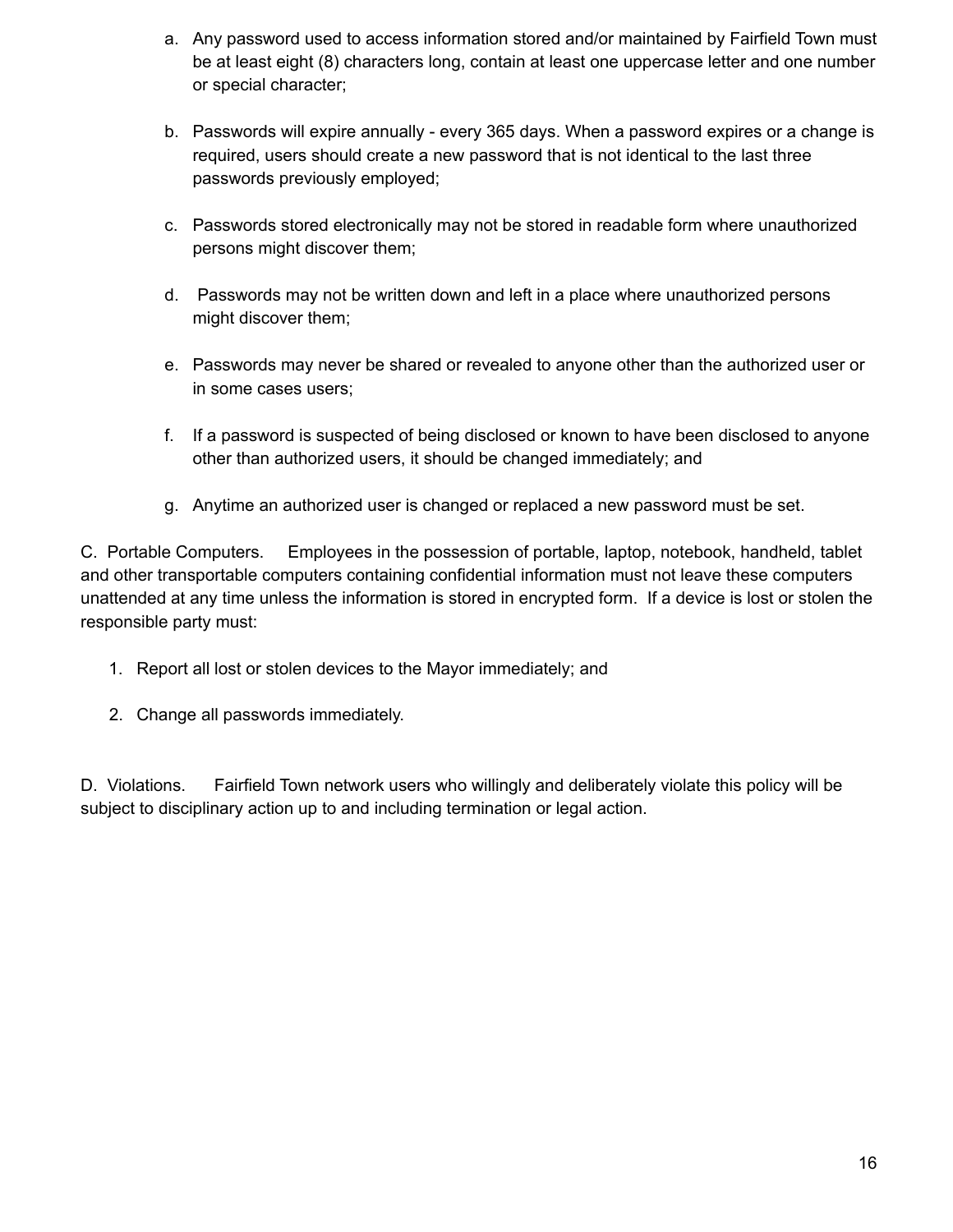- a. Any password used to access information stored and/or maintained by Fairfield Town must be at least eight (8) characters long, contain at least one uppercase letter and one number or special character;
- b. Passwords will expire annually every 365 days. When a password expires or a change is required, users should create a new password that is not identical to the last three passwords previously employed;
- c. Passwords stored electronically may not be stored in readable form where unauthorized persons might discover them;
- d. Passwords may not be written down and left in a place where unauthorized persons might discover them;
- e. Passwords may never be shared or revealed to anyone other than the authorized user or in some cases users;
- f. If a password is suspected of being disclosed or known to have been disclosed to anyone other than authorized users, it should be changed immediately; and
- g. Anytime an authorized user is changed or replaced a new password must be set.

C. Portable Computers. Employees in the possession of portable, laptop, notebook, handheld, tablet and other transportable computers containing confidential information must not leave these computers unattended at any time unless the information is stored in encrypted form. If a device is lost or stolen the responsible party must:

- 1. Report all lost or stolen devices to the Mayor immediately; and
- 2. Change all passwords immediately.

D. Violations. Fairfield Town network users who willingly and deliberately violate this policy will be subject to disciplinary action up to and including termination or legal action.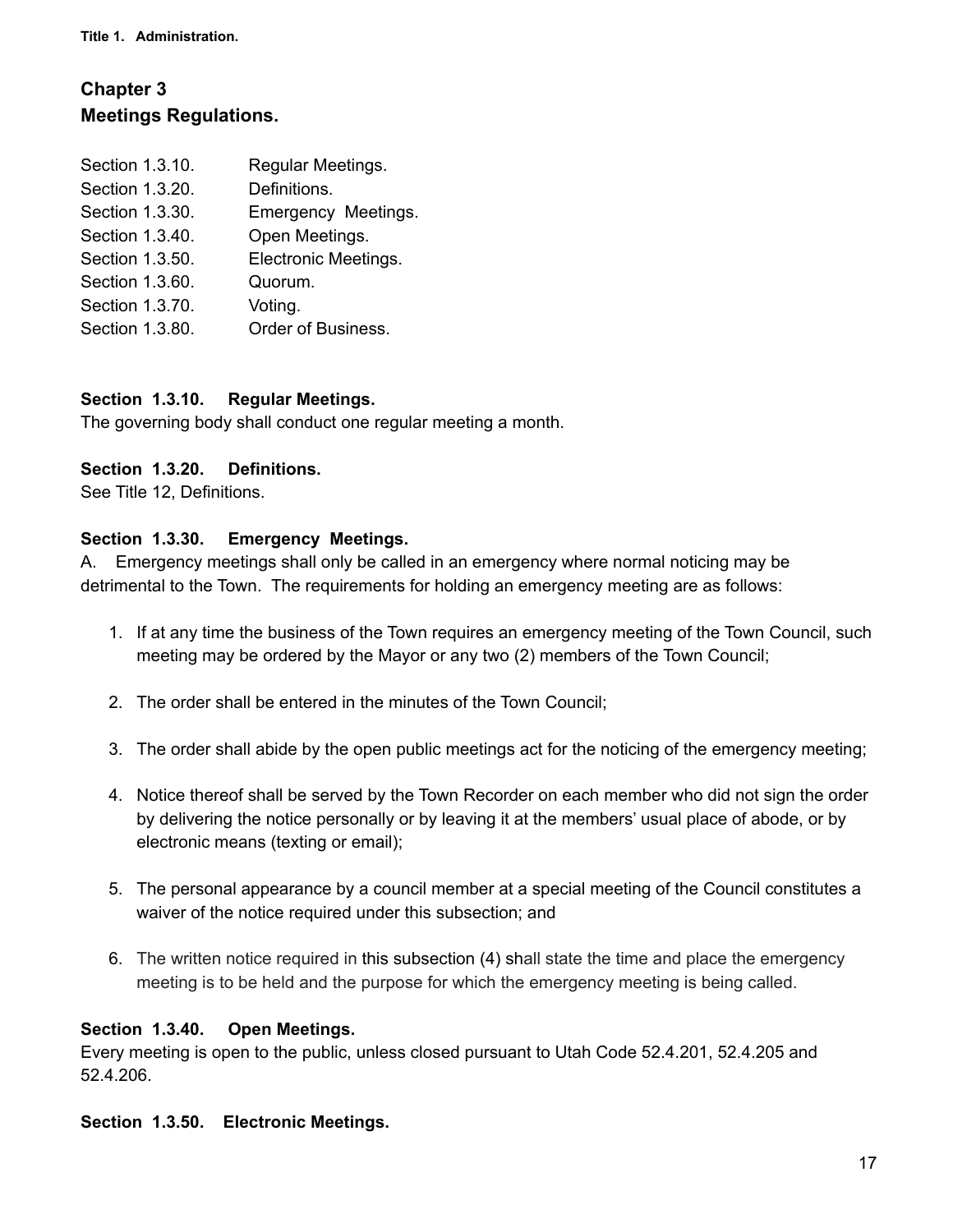**Title 1. Administration.**

# **Chapter 3 Meetings Regulations.**

| Section 1.3.10. | Regular Meetings.    |
|-----------------|----------------------|
| Section 1.3.20. | Definitions.         |
| Section 1.3.30. | Emergency Meetings.  |
| Section 1.3.40. | Open Meetings.       |
| Section 1.3.50. | Electronic Meetings. |
| Section 1.3.60. | Quorum.              |
| Section 1.3.70. | Voting.              |
| Section 1.3.80. | Order of Business.   |

#### **Section 1.3.10. Regular Meetings.**

The governing body shall conduct one regular meeting a month.

#### **Section 1.3.20. Definitions.**

See Title 12, Definitions.

#### **Section 1.3.30. Emergency Meetings.**

A. Emergency meetings shall only be called in an emergency where normal noticing may be detrimental to the Town. The requirements for holding an emergency meeting are as follows:

- 1. If at any time the business of the Town requires an emergency meeting of the Town Council, such meeting may be ordered by the Mayor or any two (2) members of the Town Council;
- 2. The order shall be entered in the minutes of the Town Council;
- 3. The order shall abide by the open public meetings act for the noticing of the emergency meeting;
- 4. Notice thereof shall be served by the Town Recorder on each member who did not sign the order by delivering the notice personally or by leaving it at the members' usual place of abode, or by electronic means (texting or email);
- 5. The personal appearance by a council member at a special meeting of the Council constitutes a waiver of the notice required under this subsection; and
- 6. The written notice required in this subsection (4) shall state the time and place the emergency meeting is to be held and the purpose for which the emergency meeting is being called.

#### **Section 1.3.40. Open Meetings.**

Every meeting is open to the public, unless closed pursuant to Utah Code 52.4.201, 52.4.205 and 52.4.206.

#### **Section 1.3.50. Electronic Meetings.**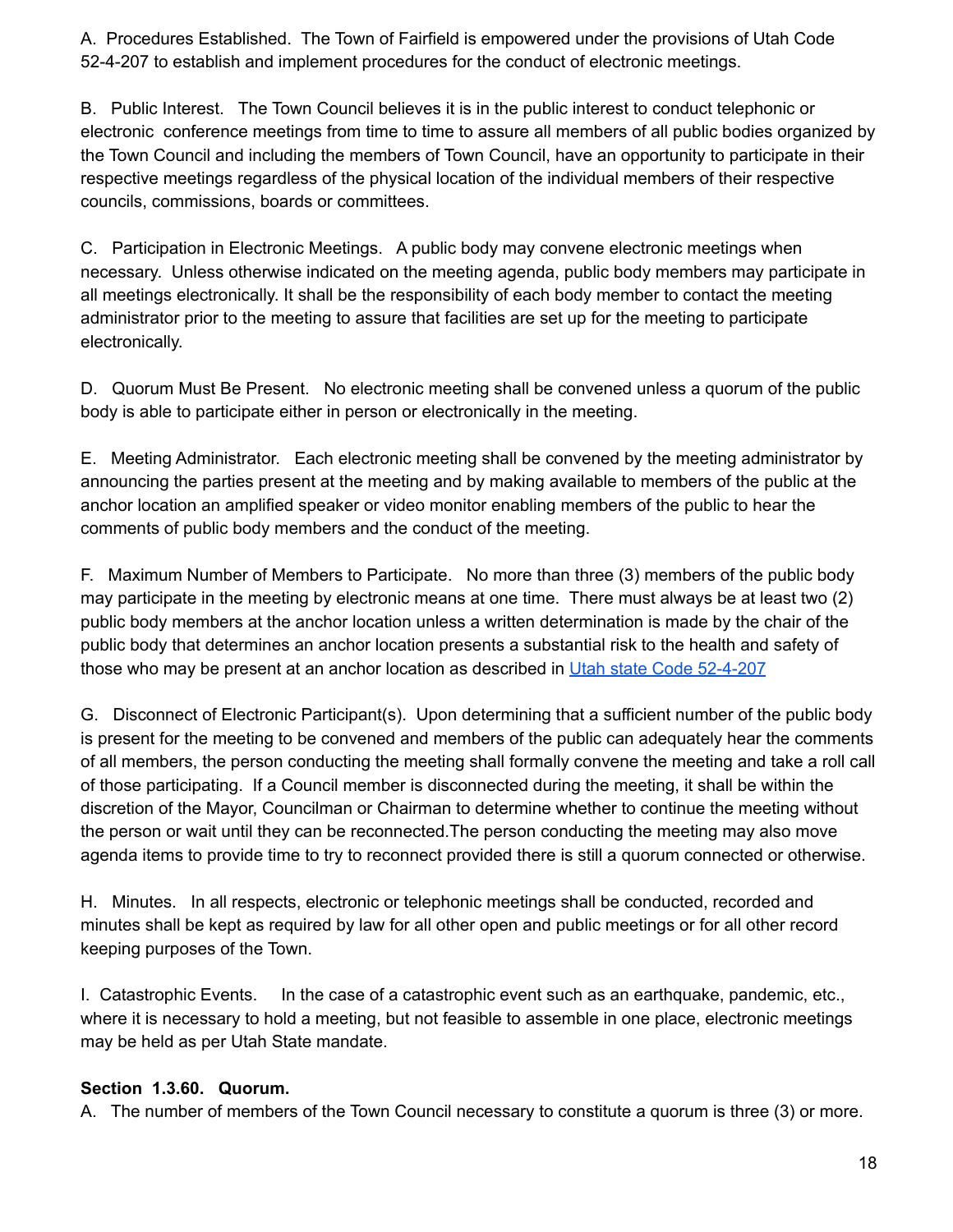A. Procedures Established. The Town of Fairfield is empowered under the provisions of Utah Code 52-4-207 to establish and implement procedures for the conduct of electronic meetings.

B. Public Interest. The Town Council believes it is in the public interest to conduct telephonic or electronic conference meetings from time to time to assure all members of all public bodies organized by the Town Council and including the members of Town Council, have an opportunity to participate in their respective meetings regardless of the physical location of the individual members of their respective councils, commissions, boards or committees.

C. Participation in Electronic Meetings. A public body may convene electronic meetings when necessary. Unless otherwise indicated on the meeting agenda, public body members may participate in all meetings electronically. It shall be the responsibility of each body member to contact the meeting administrator prior to the meeting to assure that facilities are set up for the meeting to participate electronically.

D. Quorum Must Be Present. No electronic meeting shall be convened unless a quorum of the public body is able to participate either in person or electronically in the meeting.

E. Meeting Administrator. Each electronic meeting shall be convened by the meeting administrator by announcing the parties present at the meeting and by making available to members of the public at the anchor location an amplified speaker or video monitor enabling members of the public to hear the comments of public body members and the conduct of the meeting.

F. Maximum Number of Members to Participate. No more than three (3) members of the public body may participate in the meeting by electronic means at one time. There must always be at least two (2) public body members at the anchor location unless a written determination is made by the chair of the public body that determines an anchor location presents a substantial risk to the health and safety of those who may be present at an anchor location as described in Utah state Code [52-4-207](https://le.utah.gov/xcode/Title52/Chapter4/52-4-S207.html?v=C52-4-S207_2020062520200625)

G. Disconnect of Electronic Participant(s). Upon determining that a sufficient number of the public body is present for the meeting to be convened and members of the public can adequately hear the comments of all members, the person conducting the meeting shall formally convene the meeting and take a roll call of those participating. If a Council member is disconnected during the meeting, it shall be within the discretion of the Mayor, Councilman or Chairman to determine whether to continue the meeting without the person or wait until they can be reconnected.The person conducting the meeting may also move agenda items to provide time to try to reconnect provided there is still a quorum connected or otherwise.

H. Minutes. In all respects, electronic or telephonic meetings shall be conducted, recorded and minutes shall be kept as required by law for all other open and public meetings or for all other record keeping purposes of the Town.

I. Catastrophic Events. In the case of a catastrophic event such as an earthquake, pandemic, etc., where it is necessary to hold a meeting, but not feasible to assemble in one place, electronic meetings may be held as per Utah State mandate.

### **Section 1.3.60. Quorum.**

A. The number of members of the Town Council necessary to constitute a quorum is three (3) or more.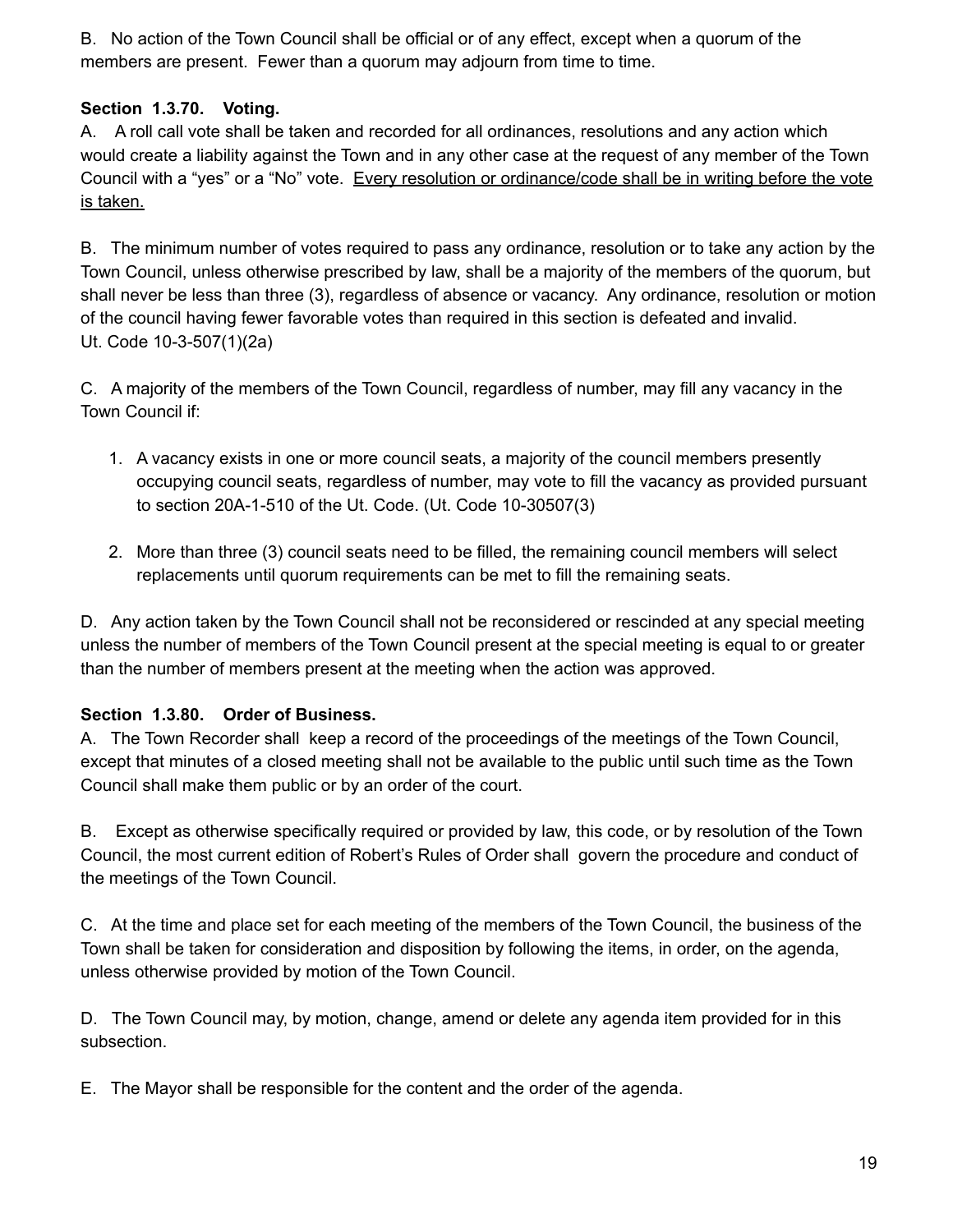B. No action of the Town Council shall be official or of any effect, except when a quorum of the members are present. Fewer than a quorum may adjourn from time to time.

### **Section 1.3.70. Voting.**

A. A roll call vote shall be taken and recorded for all ordinances, resolutions and any action which would create a liability against the Town and in any other case at the request of any member of the Town Council with a "yes" or a "No" vote. Every resolution or ordinance/code shall be in writing before the vote is taken.

B. The minimum number of votes required to pass any ordinance, resolution or to take any action by the Town Council, unless otherwise prescribed by law, shall be a majority of the members of the quorum, but shall never be less than three (3), regardless of absence or vacancy. Any ordinance, resolution or motion of the council having fewer favorable votes than required in this section is defeated and invalid. Ut. Code 10-3-507(1)(2a)

C. A majority of the members of the Town Council, regardless of number, may fill any vacancy in the Town Council if:

- 1. A vacancy exists in one or more council seats, a majority of the council members presently occupying council seats, regardless of number, may vote to fill the vacancy as provided pursuant to section 20A-1-510 of the Ut. Code. (Ut. Code 10-30507(3)
- 2. More than three (3) council seats need to be filled, the remaining council members will select replacements until quorum requirements can be met to fill the remaining seats.

D. Any action taken by the Town Council shall not be reconsidered or rescinded at any special meeting unless the number of members of the Town Council present at the special meeting is equal to or greater than the number of members present at the meeting when the action was approved.

### **Section 1.3.80. Order of Business.**

A. The Town Recorder shall keep a record of the proceedings of the meetings of the Town Council, except that minutes of a closed meeting shall not be available to the public until such time as the Town Council shall make them public or by an order of the court.

B. Except as otherwise specifically required or provided by law, this code, or by resolution of the Town Council, the most current edition of Robert's Rules of Order shall govern the procedure and conduct of the meetings of the Town Council.

C. At the time and place set for each meeting of the members of the Town Council, the business of the Town shall be taken for consideration and disposition by following the items, in order, on the agenda, unless otherwise provided by motion of the Town Council.

D. The Town Council may, by motion, change, amend or delete any agenda item provided for in this subsection.

E. The Mayor shall be responsible for the content and the order of the agenda.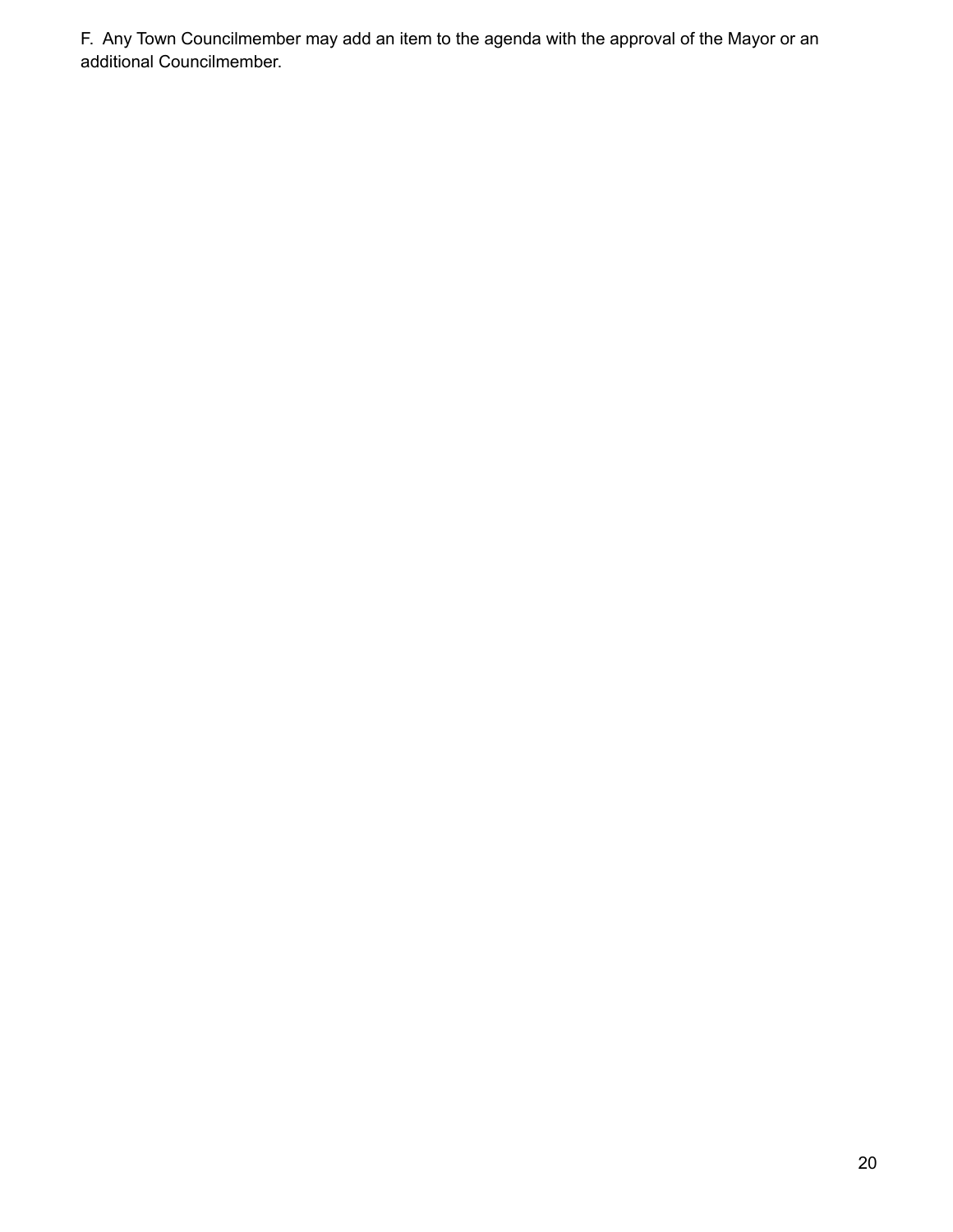F. Any Town Councilmember may add an item to the agenda with the approval of the Mayor or an additional Councilmember.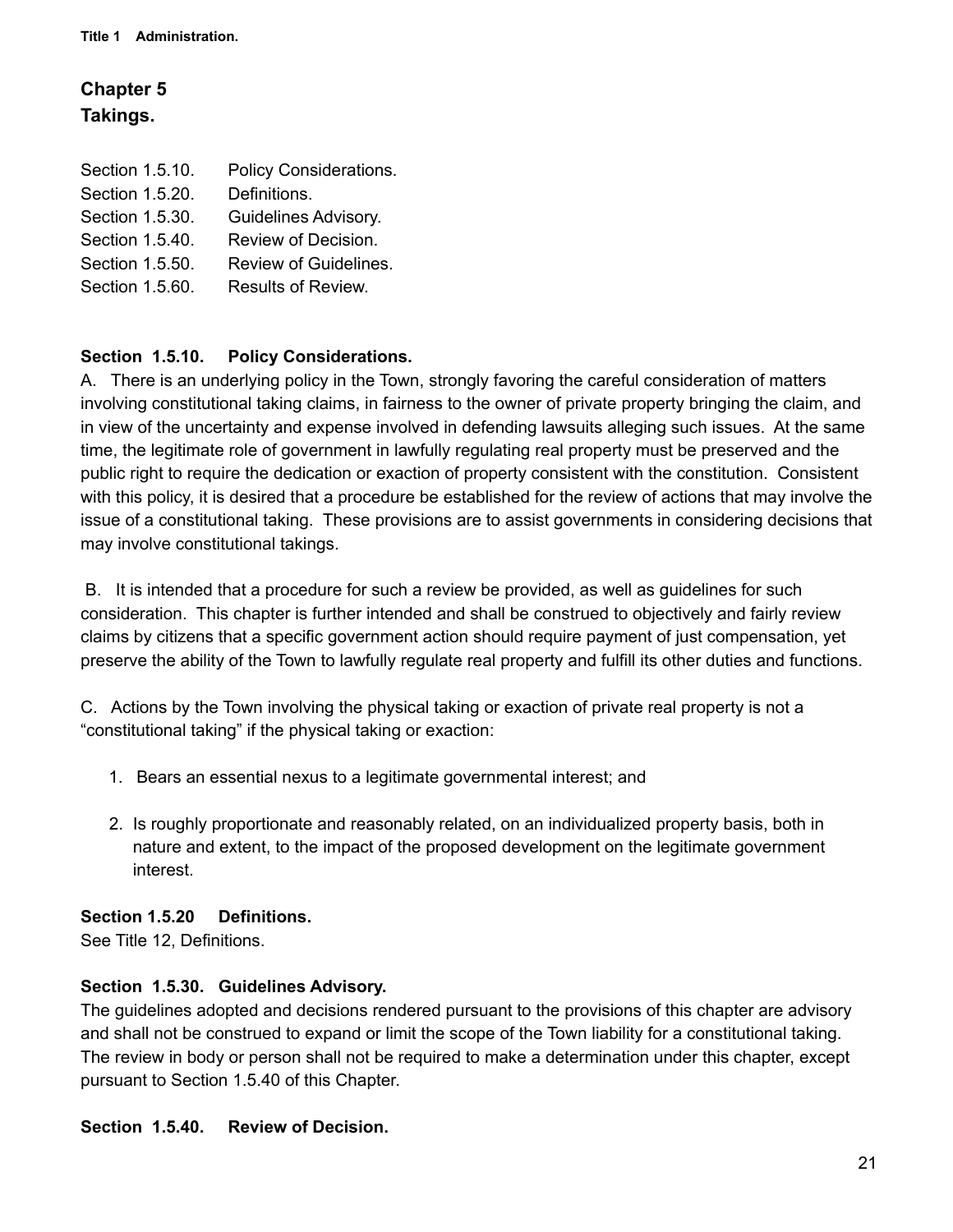# **Chapter 5 Takings.**

| Section 1.5.10. | Policy Considerations. |
|-----------------|------------------------|
| Section 1.5.20. | Definitions.           |
| Section 1.5.30. | Guidelines Advisory.   |
| Section 1.5.40. | Review of Decision.    |
| Section 1.5.50. | Review of Guidelines.  |
| Section 1.5.60. | Results of Review.     |
|                 |                        |

### **Section 1.5.10. Policy Considerations.**

A. There is an underlying policy in the Town, strongly favoring the careful consideration of matters involving constitutional taking claims, in fairness to the owner of private property bringing the claim, and in view of the uncertainty and expense involved in defending lawsuits alleging such issues. At the same time, the legitimate role of government in lawfully regulating real property must be preserved and the public right to require the dedication or exaction of property consistent with the constitution. Consistent with this policy, it is desired that a procedure be established for the review of actions that may involve the issue of a constitutional taking. These provisions are to assist governments in considering decisions that may involve constitutional takings.

B. It is intended that a procedure for such a review be provided, as well as guidelines for such consideration. This chapter is further intended and shall be construed to objectively and fairly review claims by citizens that a specific government action should require payment of just compensation, yet preserve the ability of the Town to lawfully regulate real property and fulfill its other duties and functions.

C. Actions by the Town involving the physical taking or exaction of private real property is not a "constitutional taking" if the physical taking or exaction:

- 1. Bears an essential nexus to a legitimate governmental interest; and
- 2. Is roughly proportionate and reasonably related, on an individualized property basis, both in nature and extent, to the impact of the proposed development on the legitimate government interest.

### **Section 1.5.20 Definitions.**

See Title 12, Definitions.

### **Section 1.5.30. Guidelines Advisory.**

The guidelines adopted and decisions rendered pursuant to the provisions of this chapter are advisory and shall not be construed to expand or limit the scope of the Town liability for a constitutional taking. The review in body or person shall not be required to make a determination under this chapter, except pursuant to Section 1.5.40 of this Chapter.

### **Section 1.5.40. Review of Decision.**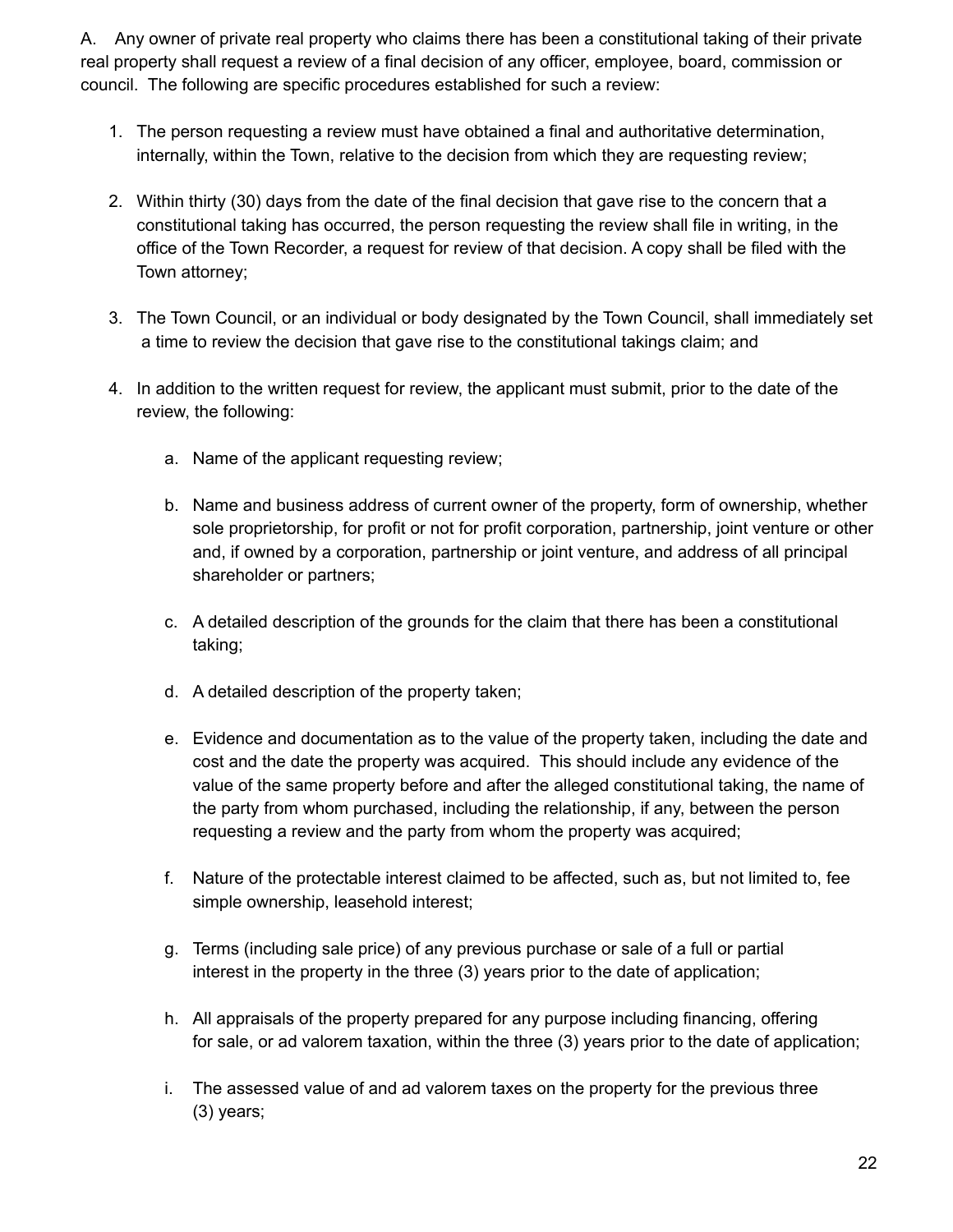A. Any owner of private real property who claims there has been a constitutional taking of their private real property shall request a review of a final decision of any officer, employee, board, commission or council. The following are specific procedures established for such a review:

- 1. The person requesting a review must have obtained a final and authoritative determination, internally, within the Town, relative to the decision from which they are requesting review;
- 2. Within thirty (30) days from the date of the final decision that gave rise to the concern that a constitutional taking has occurred, the person requesting the review shall file in writing, in the office of the Town Recorder, a request for review of that decision. A copy shall be filed with the Town attorney;
- 3. The Town Council, or an individual or body designated by the Town Council, shall immediately set a time to review the decision that gave rise to the constitutional takings claim; and
- 4. In addition to the written request for review, the applicant must submit, prior to the date of the review, the following:
	- a. Name of the applicant requesting review;
	- b. Name and business address of current owner of the property, form of ownership, whether sole proprietorship, for profit or not for profit corporation, partnership, joint venture or other and, if owned by a corporation, partnership or joint venture, and address of all principal shareholder or partners;
	- c. A detailed description of the grounds for the claim that there has been a constitutional taking;
	- d. A detailed description of the property taken;
	- e. Evidence and documentation as to the value of the property taken, including the date and cost and the date the property was acquired. This should include any evidence of the value of the same property before and after the alleged constitutional taking, the name of the party from whom purchased, including the relationship, if any, between the person requesting a review and the party from whom the property was acquired;
	- f. Nature of the protectable interest claimed to be affected, such as, but not limited to, fee simple ownership, leasehold interest;
	- g. Terms (including sale price) of any previous purchase or sale of a full or partial interest in the property in the three (3) years prior to the date of application;
	- h. All appraisals of the property prepared for any purpose including financing, offering for sale, or ad valorem taxation, within the three (3) years prior to the date of application;
	- i. The assessed value of and ad valorem taxes on the property for the previous three (3) years;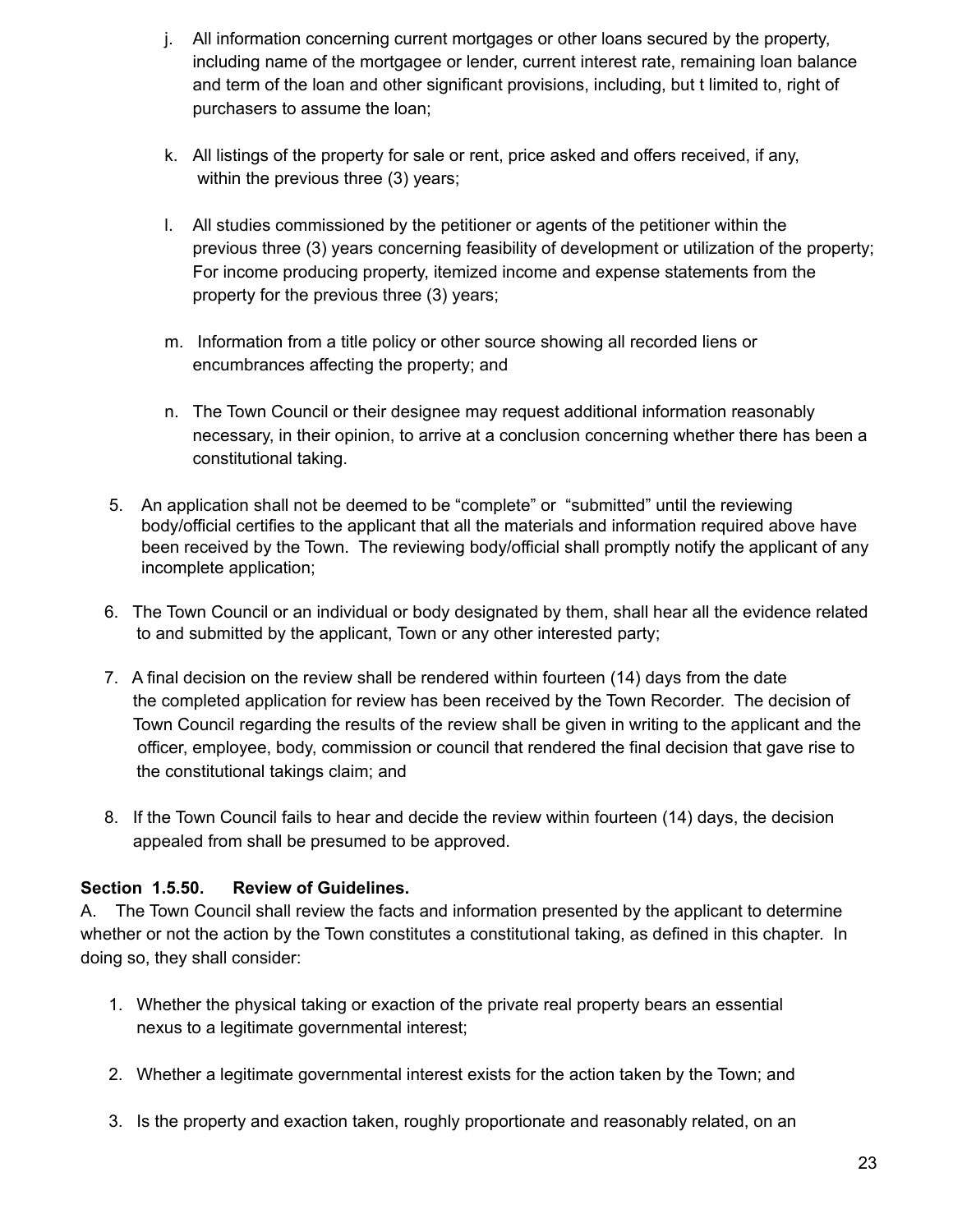- j. All information concerning current mortgages or other loans secured by the property, including name of the mortgagee or lender, current interest rate, remaining loan balance and term of the loan and other significant provisions, including, but t limited to, right of purchasers to assume the loan;
- k. All listings of the property for sale or rent, price asked and offers received, if any, within the previous three (3) years;
- l. All studies commissioned by the petitioner or agents of the petitioner within the previous three (3) years concerning feasibility of development or utilization of the property; For income producing property, itemized income and expense statements from the property for the previous three (3) years;
- m. Information from a title policy or other source showing all recorded liens or encumbrances affecting the property; and
- n. The Town Council or their designee may request additional information reasonably necessary, in their opinion, to arrive at a conclusion concerning whether there has been a constitutional taking.
- 5. An application shall not be deemed to be "complete" or "submitted" until the reviewing body/official certifies to the applicant that all the materials and information required above have been received by the Town. The reviewing body/official shall promptly notify the applicant of any incomplete application;
- 6. The Town Council or an individual or body designated by them, shall hear all the evidence related to and submitted by the applicant, Town or any other interested party;
- 7. A final decision on the review shall be rendered within fourteen (14) days from the date the completed application for review has been received by the Town Recorder. The decision of Town Council regarding the results of the review shall be given in writing to the applicant and the officer, employee, body, commission or council that rendered the final decision that gave rise to the constitutional takings claim; and
- 8. If the Town Council fails to hear and decide the review within fourteen (14) days, the decision appealed from shall be presumed to be approved.

### **Section 1.5.50. Review of Guidelines.**

A. The Town Council shall review the facts and information presented by the applicant to determine whether or not the action by the Town constitutes a constitutional taking, as defined in this chapter. In doing so, they shall consider:

- 1. Whether the physical taking or exaction of the private real property bears an essential nexus to a legitimate governmental interest;
- 2. Whether a legitimate governmental interest exists for the action taken by the Town; and
- 3. Is the property and exaction taken, roughly proportionate and reasonably related, on an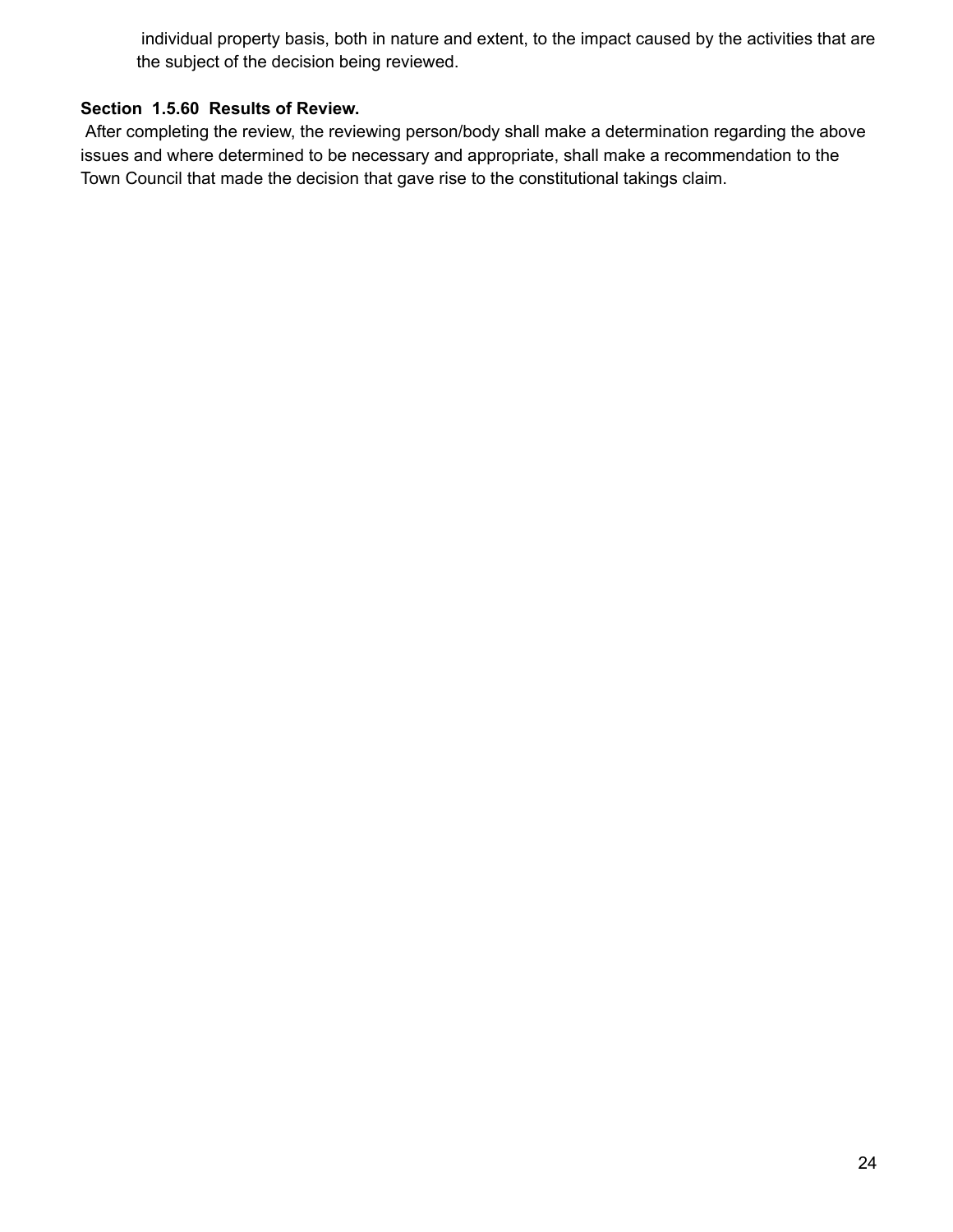individual property basis, both in nature and extent, to the impact caused by the activities that are the subject of the decision being reviewed.

### **Section 1.5.60 Results of Review.**

After completing the review, the reviewing person/body shall make a determination regarding the above issues and where determined to be necessary and appropriate, shall make a recommendation to the Town Council that made the decision that gave rise to the constitutional takings claim.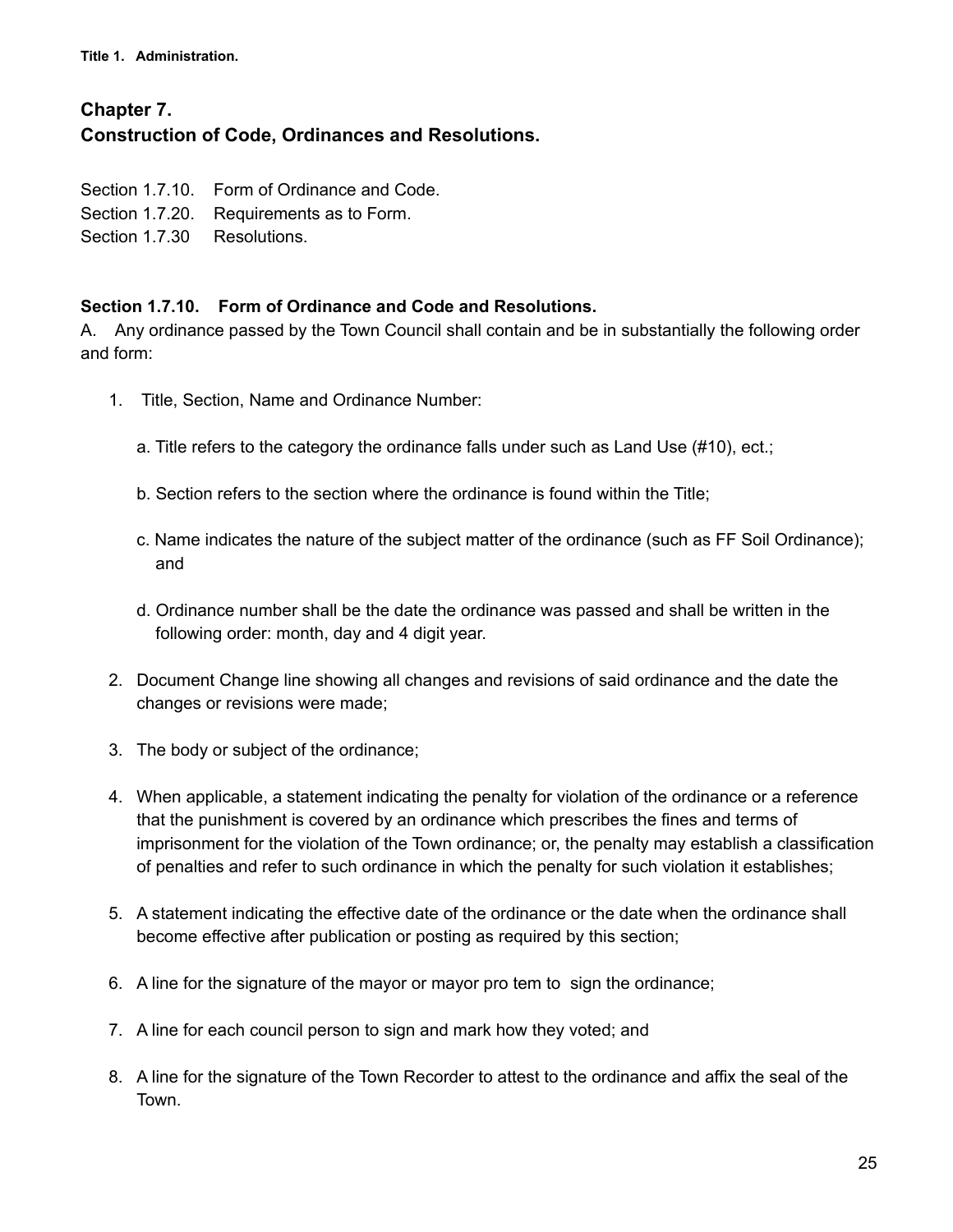**Title 1. Administration.**

## **Chapter 7. Construction of Code, Ordinances and Resolutions.**

- Section 1.7.10. Form of Ordinance and Code.
- Section 1.7.20. Requirements as to Form.
- Section 1.7.30 Resolutions.

#### **Section 1.7.10. Form of Ordinance and Code and Resolutions.**

A. Any ordinance passed by the Town Council shall contain and be in substantially the following order and form:

- 1. Title, Section, Name and Ordinance Number:
	- a. Title refers to the category the ordinance falls under such as Land Use (#10), ect.;
	- b. Section refers to the section where the ordinance is found within the Title;
	- c. Name indicates the nature of the subject matter of the ordinance (such as FF Soil Ordinance); and
	- d. Ordinance number shall be the date the ordinance was passed and shall be written in the following order: month, day and 4 digit year.
- 2. Document Change line showing all changes and revisions of said ordinance and the date the changes or revisions were made;
- 3. The body or subject of the ordinance;
- 4. When applicable, a statement indicating the penalty for violation of the ordinance or a reference that the punishment is covered by an ordinance which prescribes the fines and terms of imprisonment for the violation of the Town ordinance; or, the penalty may establish a classification of penalties and refer to such ordinance in which the penalty for such violation it establishes;
- 5. A statement indicating the effective date of the ordinance or the date when the ordinance shall become effective after publication or posting as required by this section;
- 6. A line for the signature of the mayor or mayor pro tem to sign the ordinance;
- 7. A line for each council person to sign and mark how they voted; and
- 8. A line for the signature of the Town Recorder to attest to the ordinance and affix the seal of the Town.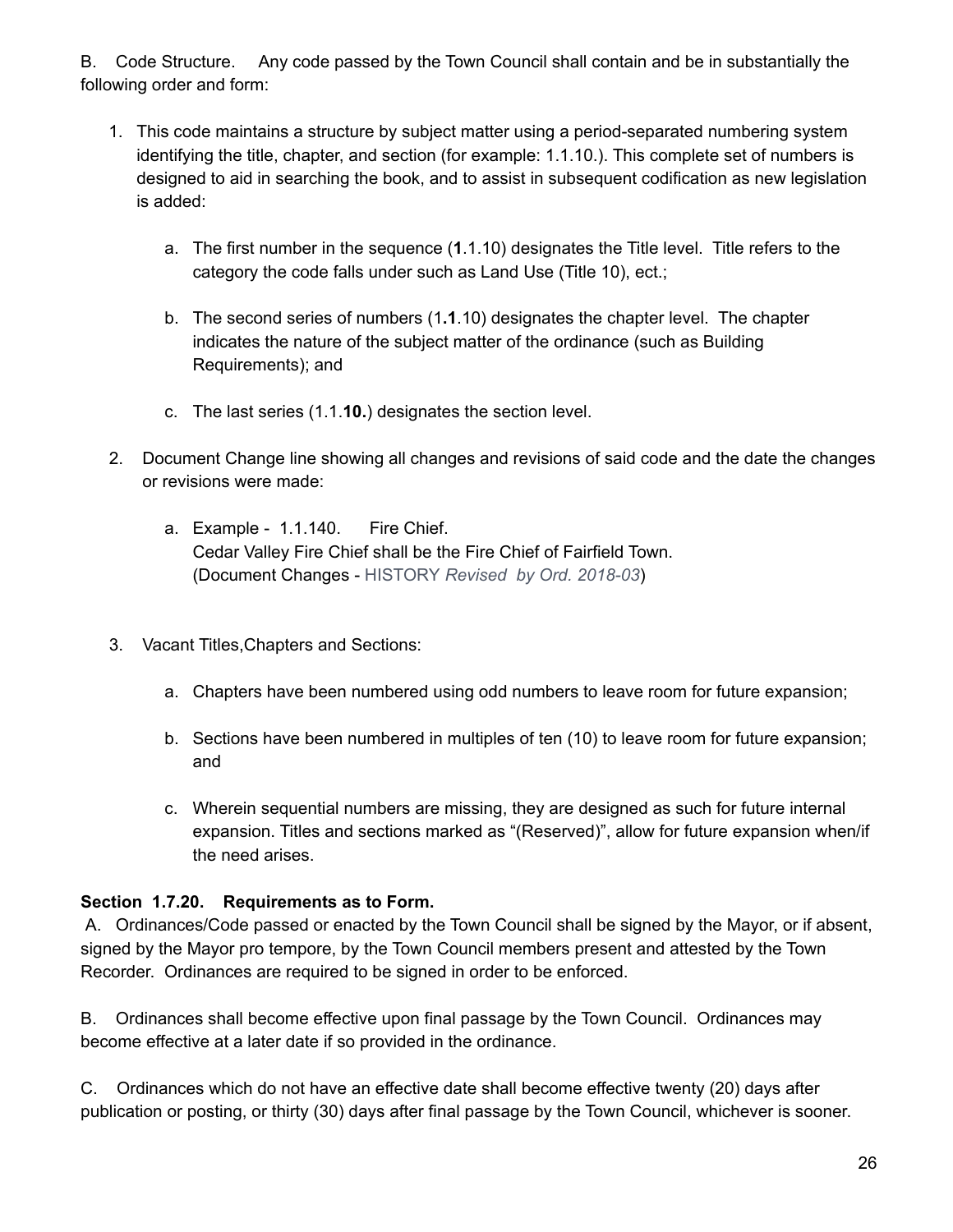B. Code Structure. Any code passed by the Town Council shall contain and be in substantially the following order and form:

- 1. This code maintains a structure by subject matter using a period-separated numbering system identifying the title, chapter, and section (for example: 1.1.10.). This complete set of numbers is designed to aid in searching the book, and to assist in subsequent codification as new legislation is added:
	- a. The first number in the sequence (**1**.1.10) designates the Title level. Title refers to the category the code falls under such as Land Use (Title 10), ect.;
	- b. The second series of numbers (1**.1**.10) designates the chapter level. The chapter indicates the nature of the subject matter of the ordinance (such as Building Requirements); and
	- c. The last series (1.1.**10.**) designates the section level.
- 2. Document Change line showing all changes and revisions of said code and the date the changes or revisions were made:
	- a. Example 1.1.140. Fire Chief. Cedar Valley Fire Chief shall be the Fire Chief of Fairfield Town. (Document Changes - HISTORY *Revised by Ord. 2018-03*)
- 3. Vacant Titles,Chapters and Sections:
	- a. Chapters have been numbered using odd numbers to leave room for future expansion;
	- b. Sections have been numbered in multiples of ten (10) to leave room for future expansion; and
	- c. Wherein sequential numbers are missing, they are designed as such for future internal expansion. Titles and sections marked as "(Reserved)", allow for future expansion when/if the need arises.

### **Section 1.7.20. Requirements as to Form.**

A. Ordinances/Code passed or enacted by the Town Council shall be signed by the Mayor, or if absent, signed by the Mayor pro tempore, by the Town Council members present and attested by the Town Recorder. Ordinances are required to be signed in order to be enforced.

B. Ordinances shall become effective upon final passage by the Town Council. Ordinances may become effective at a later date if so provided in the ordinance.

C. Ordinances which do not have an effective date shall become effective twenty (20) days after publication or posting, or thirty (30) days after final passage by the Town Council, whichever is sooner.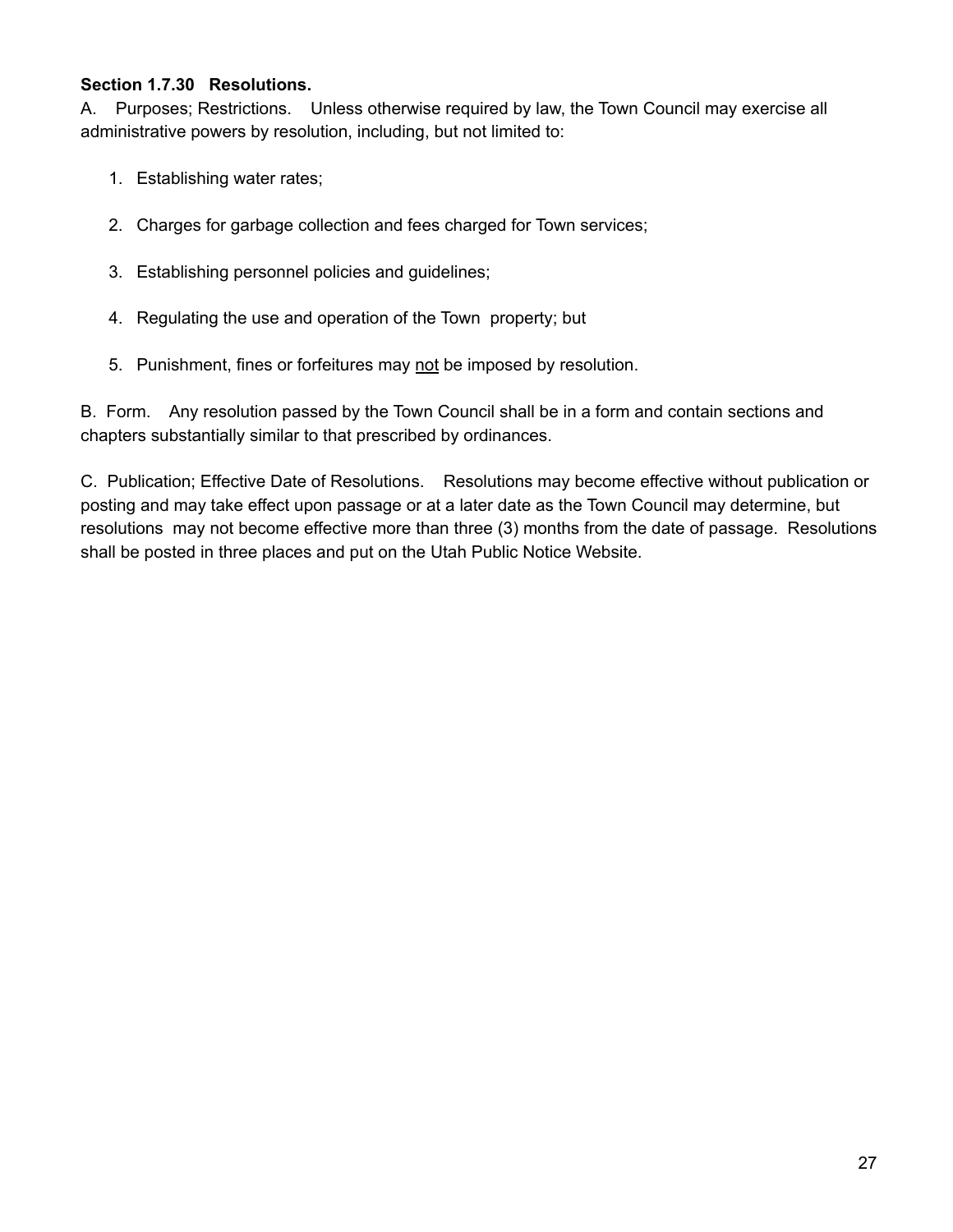### **Section 1.7.30 Resolutions.**

A. Purposes; Restrictions. Unless otherwise required by law, the Town Council may exercise all administrative powers by resolution, including, but not limited to:

- 1. Establishing water rates;
- 2. Charges for garbage collection and fees charged for Town services;
- 3. Establishing personnel policies and guidelines;
- 4. Regulating the use and operation of the Town property; but
- 5. Punishment, fines or forfeitures may not be imposed by resolution.

B. Form. Any resolution passed by the Town Council shall be in a form and contain sections and chapters substantially similar to that prescribed by ordinances.

C. Publication; Effective Date of Resolutions. Resolutions may become effective without publication or posting and may take effect upon passage or at a later date as the Town Council may determine, but resolutions may not become effective more than three (3) months from the date of passage. Resolutions shall be posted in three places and put on the Utah Public Notice Website.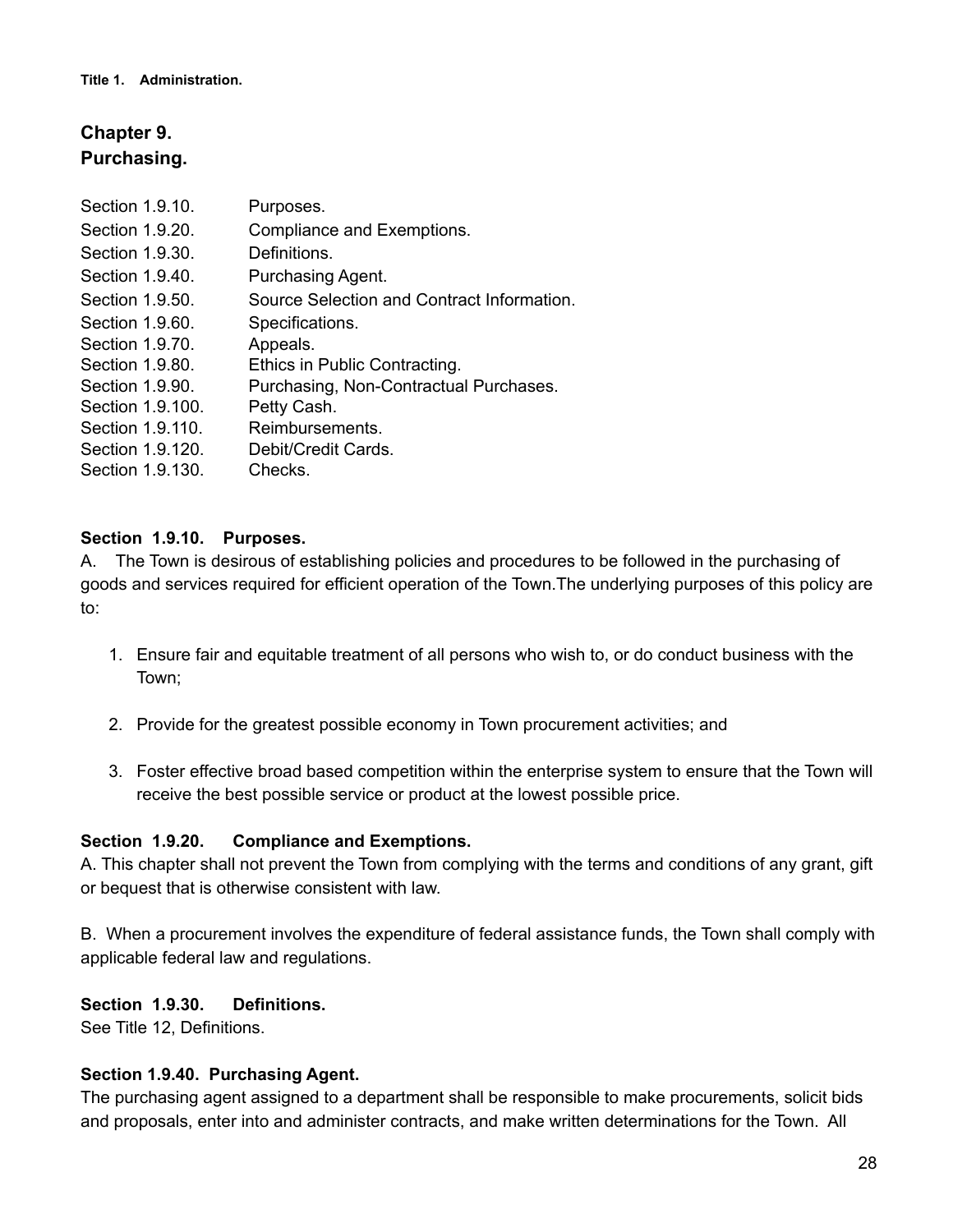## **Chapter 9. Purchasing.**

| Section 1.9.10.  | Purposes.                                  |
|------------------|--------------------------------------------|
| Section 1.9.20.  | Compliance and Exemptions.                 |
| Section 1.9.30.  | Definitions.                               |
| Section 1.9.40.  | Purchasing Agent.                          |
| Section 1.9.50.  | Source Selection and Contract Information. |
| Section 1.9.60.  | Specifications.                            |
| Section 1.9.70.  | Appeals.                                   |
| Section 1.9.80.  | Ethics in Public Contracting.              |
| Section 1.9.90.  | Purchasing, Non-Contractual Purchases.     |
| Section 1.9.100. | Petty Cash.                                |
| Section 1.9.110. | Reimbursements.                            |
| Section 1.9.120. | Debit/Credit Cards.                        |
| Section 1.9.130. | Checks.                                    |

### **Section 1.9.10. Purposes.**

A. The Town is desirous of establishing policies and procedures to be followed in the purchasing of goods and services required for efficient operation of the Town.The underlying purposes of this policy are to:

- 1. Ensure fair and equitable treatment of all persons who wish to, or do conduct business with the Town;
- 2. Provide for the greatest possible economy in Town procurement activities; and
- 3. Foster effective broad based competition within the enterprise system to ensure that the Town will receive the best possible service or product at the lowest possible price.

### **Section 1.9.20. Compliance and Exemptions.**

A. This chapter shall not prevent the Town from complying with the terms and conditions of any grant, gift or bequest that is otherwise consistent with law.

B. When a procurement involves the expenditure of federal assistance funds, the Town shall comply with applicable federal law and regulations.

### **Section 1.9.30. Definitions.**

See Title 12, Definitions.

### **Section 1.9.40. Purchasing Agent.**

The purchasing agent assigned to a department shall be responsible to make procurements, solicit bids and proposals, enter into and administer contracts, and make written determinations for the Town. All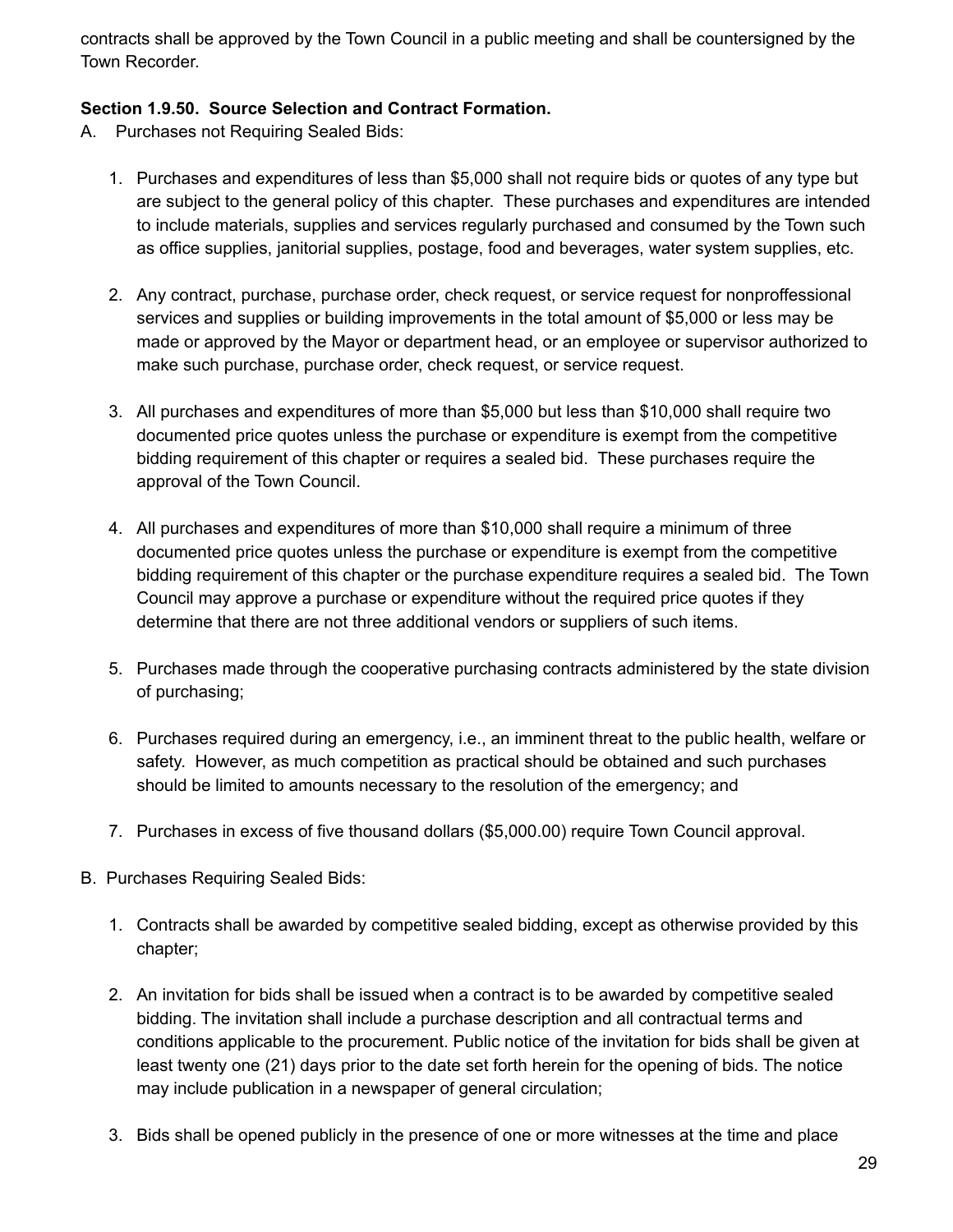contracts shall be approved by the Town Council in a public meeting and shall be countersigned by the Town Recorder.

### **Section 1.9.50. Source Selection and Contract Formation.**

- A. Purchases not Requiring Sealed Bids:
	- 1. Purchases and expenditures of less than \$5,000 shall not require bids or quotes of any type but are subject to the general policy of this chapter. These purchases and expenditures are intended to include materials, supplies and services regularly purchased and consumed by the Town such as office supplies, janitorial supplies, postage, food and beverages, water system supplies, etc.
	- 2. Any contract, purchase, purchase order, check request, or service request for nonproffessional services and supplies or building improvements in the total amount of \$5,000 or less may be made or approved by the Mayor or department head, or an employee or supervisor authorized to make such purchase, purchase order, check request, or service request.
	- 3. All purchases and expenditures of more than \$5,000 but less than \$10,000 shall require two documented price quotes unless the purchase or expenditure is exempt from the competitive bidding requirement of this chapter or requires a sealed bid. These purchases require the approval of the Town Council.
	- 4. All purchases and expenditures of more than \$10,000 shall require a minimum of three documented price quotes unless the purchase or expenditure is exempt from the competitive bidding requirement of this chapter or the purchase expenditure requires a sealed bid. The Town Council may approve a purchase or expenditure without the required price quotes if they determine that there are not three additional vendors or suppliers of such items.
	- 5. Purchases made through the cooperative purchasing contracts administered by the state division of purchasing;
	- 6. Purchases required during an emergency, i.e., an imminent threat to the public health, welfare or safety. However, as much competition as practical should be obtained and such purchases should be limited to amounts necessary to the resolution of the emergency; and
	- 7. Purchases in excess of five thousand dollars (\$5,000.00) require Town Council approval.
- B. Purchases Requiring Sealed Bids:
	- 1. Contracts shall be awarded by competitive sealed bidding, except as otherwise provided by this chapter;
	- 2. An invitation for bids shall be issued when a contract is to be awarded by competitive sealed bidding. The invitation shall include a purchase description and all contractual terms and conditions applicable to the procurement. Public notice of the invitation for bids shall be given at least twenty one (21) days prior to the date set forth herein for the opening of bids. The notice may include publication in a newspaper of general circulation;
	- 3. Bids shall be opened publicly in the presence of one or more witnesses at the time and place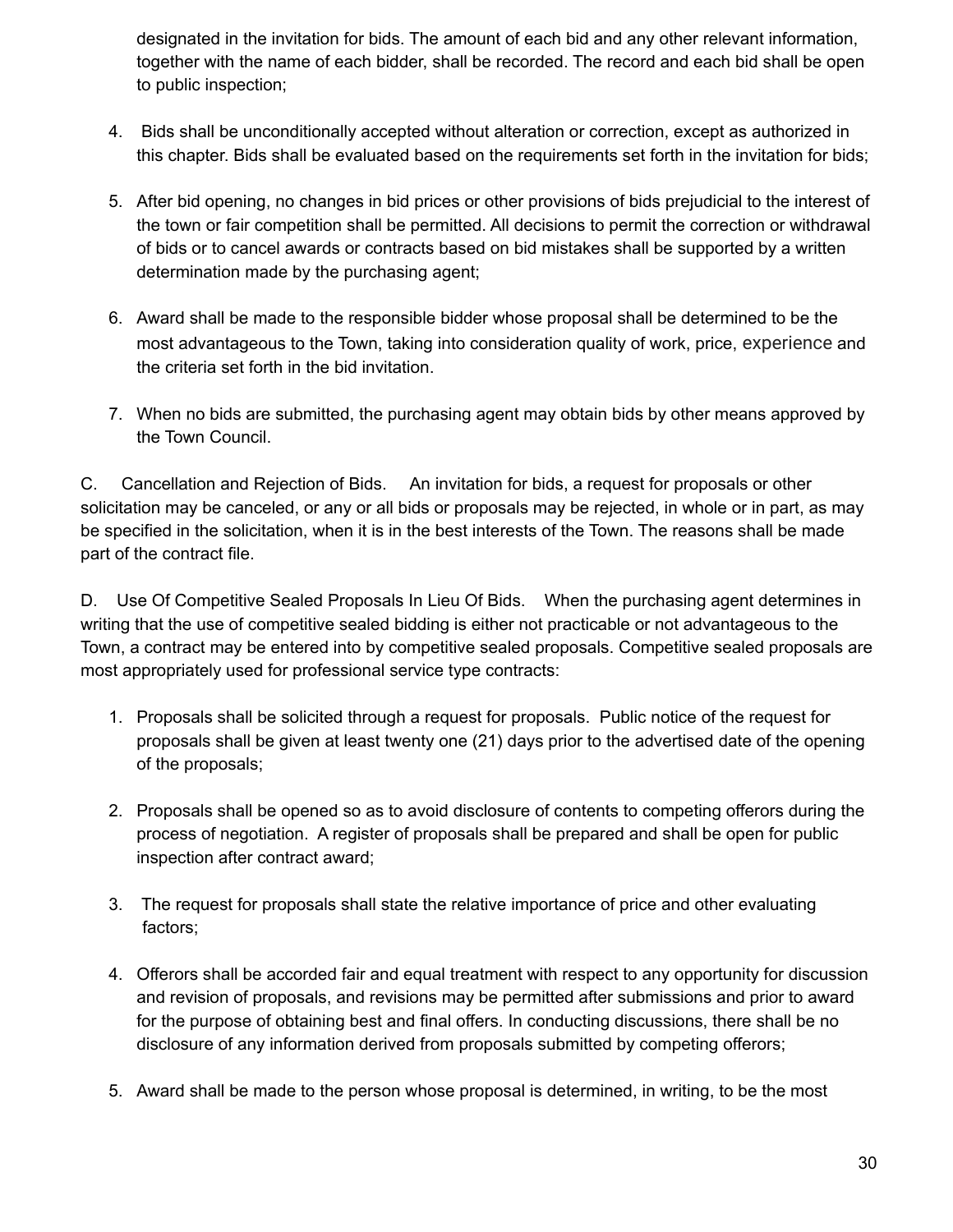designated in the invitation for bids. The amount of each bid and any other relevant information, together with the name of each bidder, shall be recorded. The record and each bid shall be open to public inspection;

- 4. Bids shall be unconditionally accepted without alteration or correction, except as authorized in this chapter. Bids shall be evaluated based on the requirements set forth in the invitation for bids;
- 5. After bid opening, no changes in bid prices or other provisions of bids prejudicial to the interest of the town or fair competition shall be permitted. All decisions to permit the correction or withdrawal of bids or to cancel awards or contracts based on bid mistakes shall be supported by a written determination made by the purchasing agent;
- 6. Award shall be made to the responsible bidder whose proposal shall be determined to be the most advantageous to the Town, taking into consideration quality of work, price, experience and the criteria set forth in the bid invitation.
- 7. When no bids are submitted, the purchasing agent may obtain bids by other means approved by the Town Council.

C. Cancellation and Rejection of Bids. An invitation for bids, a request for proposals or other solicitation may be canceled, or any or all bids or proposals may be rejected, in whole or in part, as may be specified in the solicitation, when it is in the best interests of the Town. The reasons shall be made part of the contract file.

D. Use Of Competitive Sealed Proposals In Lieu Of Bids. When the purchasing agent determines in writing that the use of competitive sealed bidding is either not practicable or not advantageous to the Town, a contract may be entered into by competitive sealed proposals. Competitive sealed proposals are most appropriately used for professional service type contracts:

- 1. Proposals shall be solicited through a request for proposals. Public notice of the request for proposals shall be given at least twenty one (21) days prior to the advertised date of the opening of the proposals;
- 2. Proposals shall be opened so as to avoid disclosure of contents to competing offerors during the process of negotiation. A register of proposals shall be prepared and shall be open for public inspection after contract award;
- 3. The request for proposals shall state the relative importance of price and other evaluating factors;
- 4. Offerors shall be accorded fair and equal treatment with respect to any opportunity for discussion and revision of proposals, and revisions may be permitted after submissions and prior to award for the purpose of obtaining best and final offers. In conducting discussions, there shall be no disclosure of any information derived from proposals submitted by competing offerors;
- 5. Award shall be made to the person whose proposal is determined, in writing, to be the most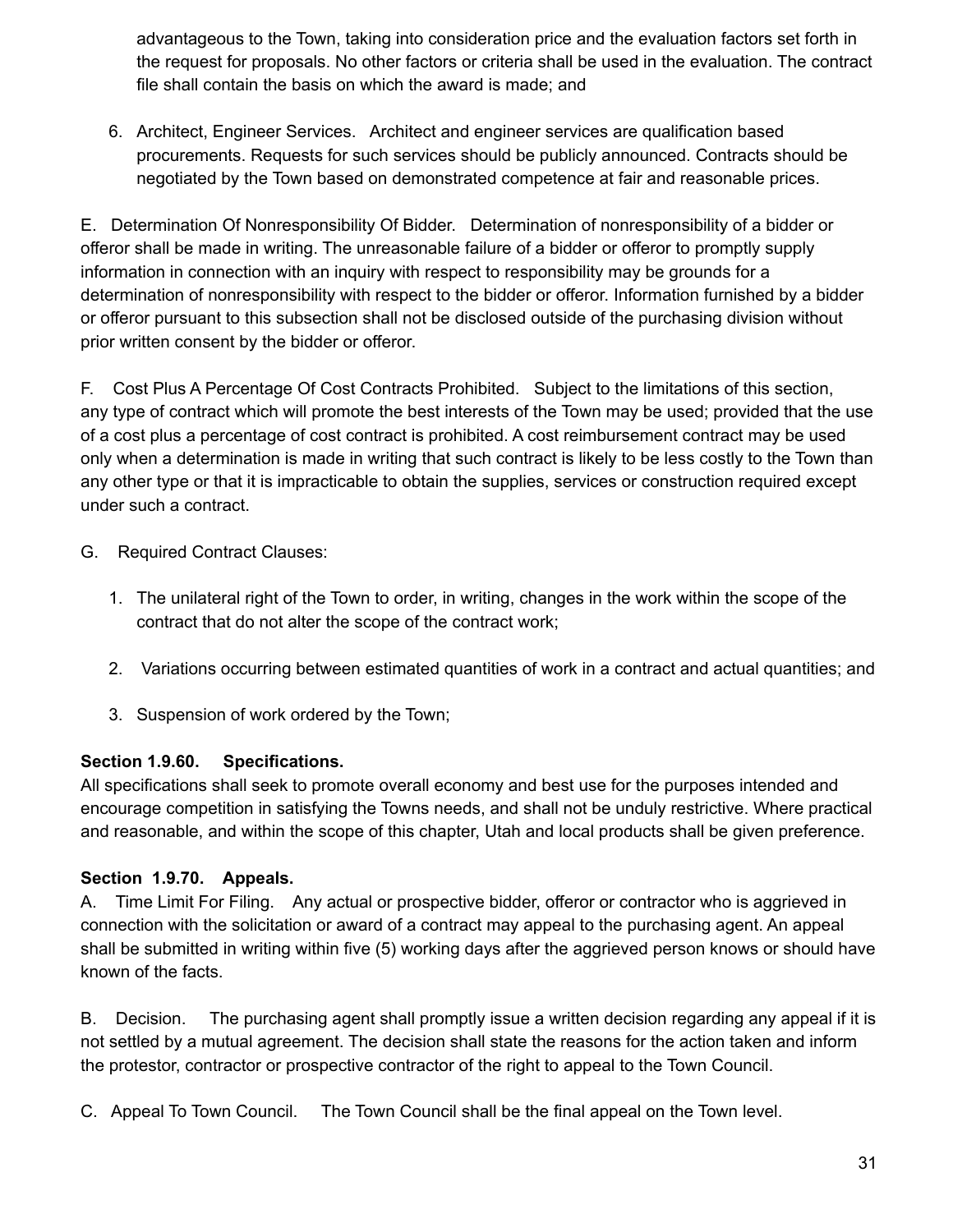advantageous to the Town, taking into consideration price and the evaluation factors set forth in the request for proposals. No other factors or criteria shall be used in the evaluation. The contract file shall contain the basis on which the award is made; and

6. Architect, Engineer Services. Architect and engineer services are qualification based procurements. Requests for such services should be publicly announced. Contracts should be negotiated by the Town based on demonstrated competence at fair and reasonable prices.

E. Determination Of Nonresponsibility Of Bidder. Determination of nonresponsibility of a bidder or offeror shall be made in writing. The unreasonable failure of a bidder or offeror to promptly supply information in connection with an inquiry with respect to responsibility may be grounds for a determination of nonresponsibility with respect to the bidder or offeror. Information furnished by a bidder or offeror pursuant to this subsection shall not be disclosed outside of the purchasing division without prior written consent by the bidder or offeror.

F. Cost Plus A Percentage Of Cost Contracts Prohibited. Subject to the limitations of this section, any type of contract which will promote the best interests of the Town may be used; provided that the use of a cost plus a percentage of cost contract is prohibited. A cost reimbursement contract may be used only when a determination is made in writing that such contract is likely to be less costly to the Town than any other type or that it is impracticable to obtain the supplies, services or construction required except under such a contract.

- G. Required Contract Clauses:
	- 1. The unilateral right of the Town to order, in writing, changes in the work within the scope of the contract that do not alter the scope of the contract work;
	- 2. Variations occurring between estimated quantities of work in a contract and actual quantities; and
	- 3. Suspension of work ordered by the Town;

### **Section 1.9.60. Specifications.**

All specifications shall seek to promote overall economy and best use for the purposes intended and encourage competition in satisfying the Towns needs, and shall not be unduly restrictive. Where practical and reasonable, and within the scope of this chapter, Utah and local products shall be given preference.

### **Section 1.9.70. Appeals.**

A. Time Limit For Filing. Any actual or prospective bidder, offeror or contractor who is aggrieved in connection with the solicitation or award of a contract may appeal to the purchasing agent. An appeal shall be submitted in writing within five (5) working days after the aggrieved person knows or should have known of the facts.

B. Decision. The purchasing agent shall promptly issue a written decision regarding any appeal if it is not settled by a mutual agreement. The decision shall state the reasons for the action taken and inform the protestor, contractor or prospective contractor of the right to appeal to the Town Council.

C. Appeal To Town Council. The Town Council shall be the final appeal on the Town level.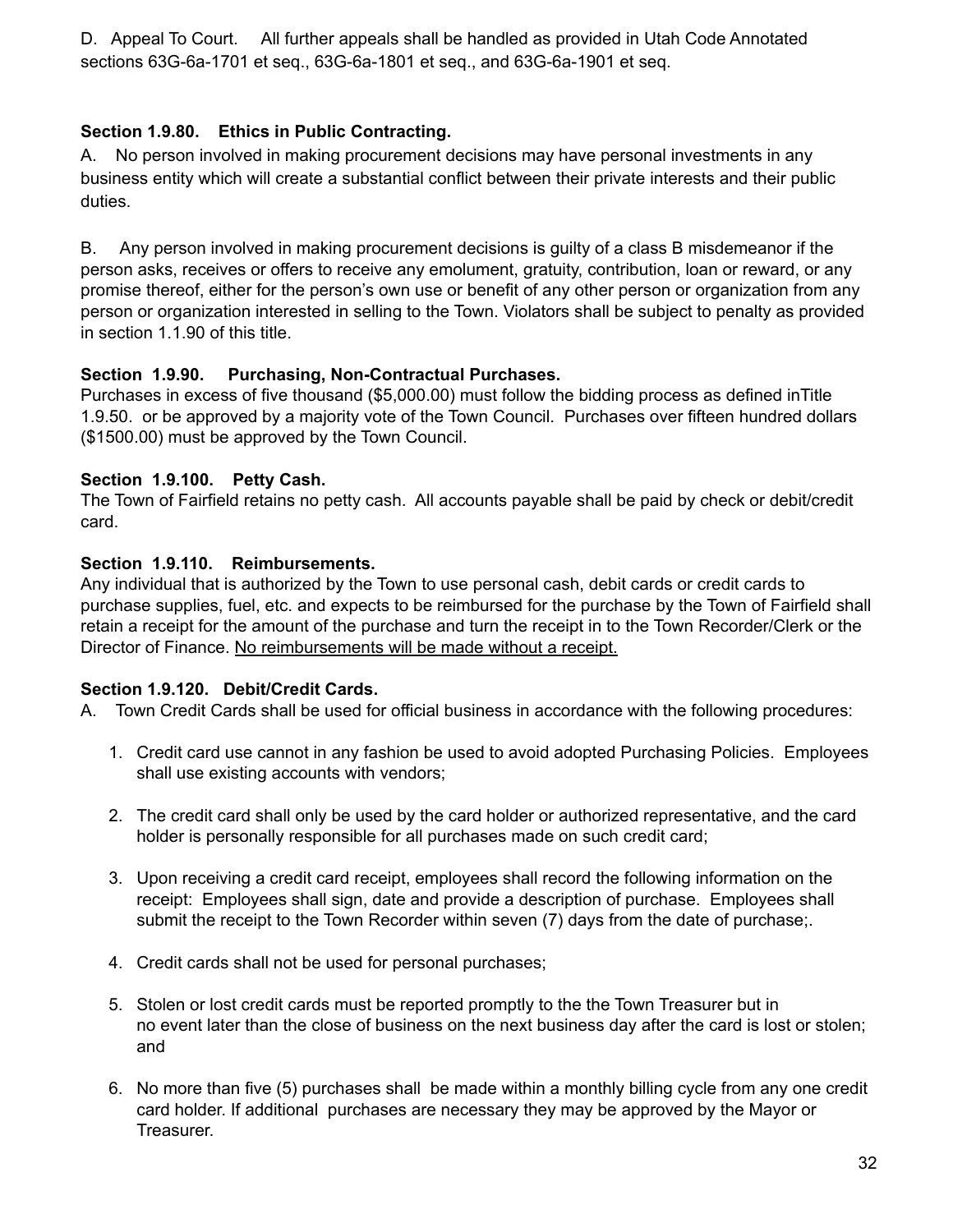D. Appeal To Court. All further appeals shall be handled as provided in Utah Code Annotated sections 63G-6a-1701 et seq., 63G-6a-1801 et seq., and 63G-6a-1901 et seq.

### **Section 1.9.80. Ethics in Public Contracting.**

A. No person involved in making procurement decisions may have personal investments in any business entity which will create a substantial conflict between their private interests and their public duties.

B. Any person involved in making procurement decisions is guilty of a class B misdemeanor if the person asks, receives or offers to receive any emolument, gratuity, contribution, loan or reward, or any promise thereof, either for the person's own use or benefit of any other person or organization from any person or organization interested in selling to the Town. Violators shall be subject to penalty as provided in section 1.1.90 of this title.

### **Section 1.9.90. Purchasing, Non-Contractual Purchases.**

Purchases in excess of five thousand (\$5,000.00) must follow the bidding process as defined inTitle 1.9.50. or be approved by a majority vote of the Town Council. Purchases over fifteen hundred dollars (\$1500.00) must be approved by the Town Council.

### **Section 1.9.100. Petty Cash.**

The Town of Fairfield retains no petty cash. All accounts payable shall be paid by check or debit/credit card.

### **Section 1.9.110. Reimbursements.**

Any individual that is authorized by the Town to use personal cash, debit cards or credit cards to purchase supplies, fuel, etc. and expects to be reimbursed for the purchase by the Town of Fairfield shall retain a receipt for the amount of the purchase and turn the receipt in to the Town Recorder/Clerk or the Director of Finance. No reimbursements will be made without a receipt.

### **Section 1.9.120. Debit/Credit Cards.**

A. Town Credit Cards shall be used for official business in accordance with the following procedures:

- 1. Credit card use cannot in any fashion be used to avoid adopted Purchasing Policies. Employees shall use existing accounts with vendors;
- 2. The credit card shall only be used by the card holder or authorized representative, and the card holder is personally responsible for all purchases made on such credit card;
- 3. Upon receiving a credit card receipt, employees shall record the following information on the receipt: Employees shall sign, date and provide a description of purchase. Employees shall submit the receipt to the Town Recorder within seven (7) days from the date of purchase;.
- 4. Credit cards shall not be used for personal purchases;
- 5. Stolen or lost credit cards must be reported promptly to the the Town Treasurer but in no event later than the close of business on the next business day after the card is lost or stolen; and
- 6. No more than five (5) purchases shall be made within a monthly billing cycle from any one credit card holder. If additional purchases are necessary they may be approved by the Mayor or Treasurer.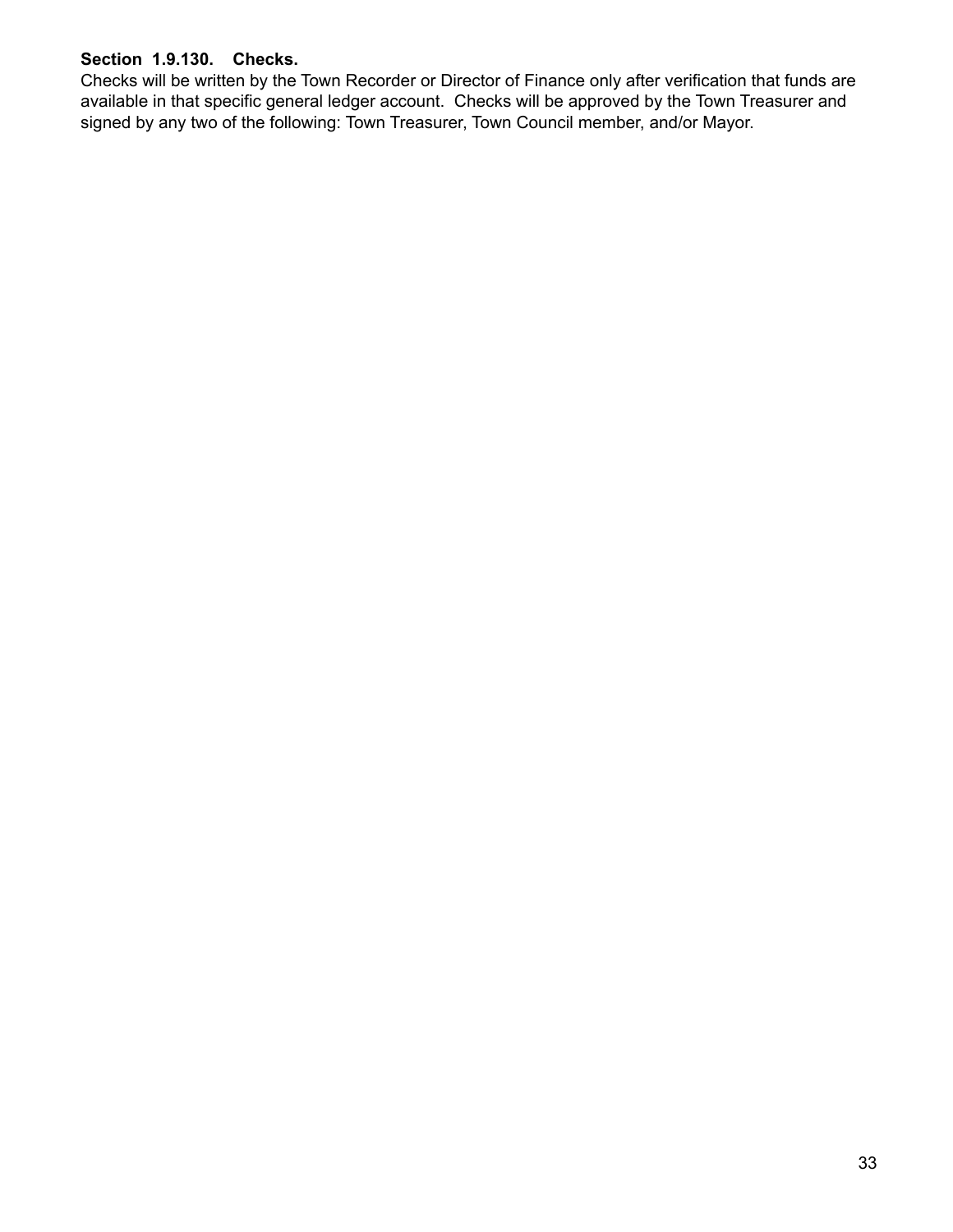#### **Section 1.9.130. Checks.**

Checks will be written by the Town Recorder or Director of Finance only after verification that funds are available in that specific general ledger account. Checks will be approved by the Town Treasurer and signed by any two of the following: Town Treasurer, Town Council member, and/or Mayor.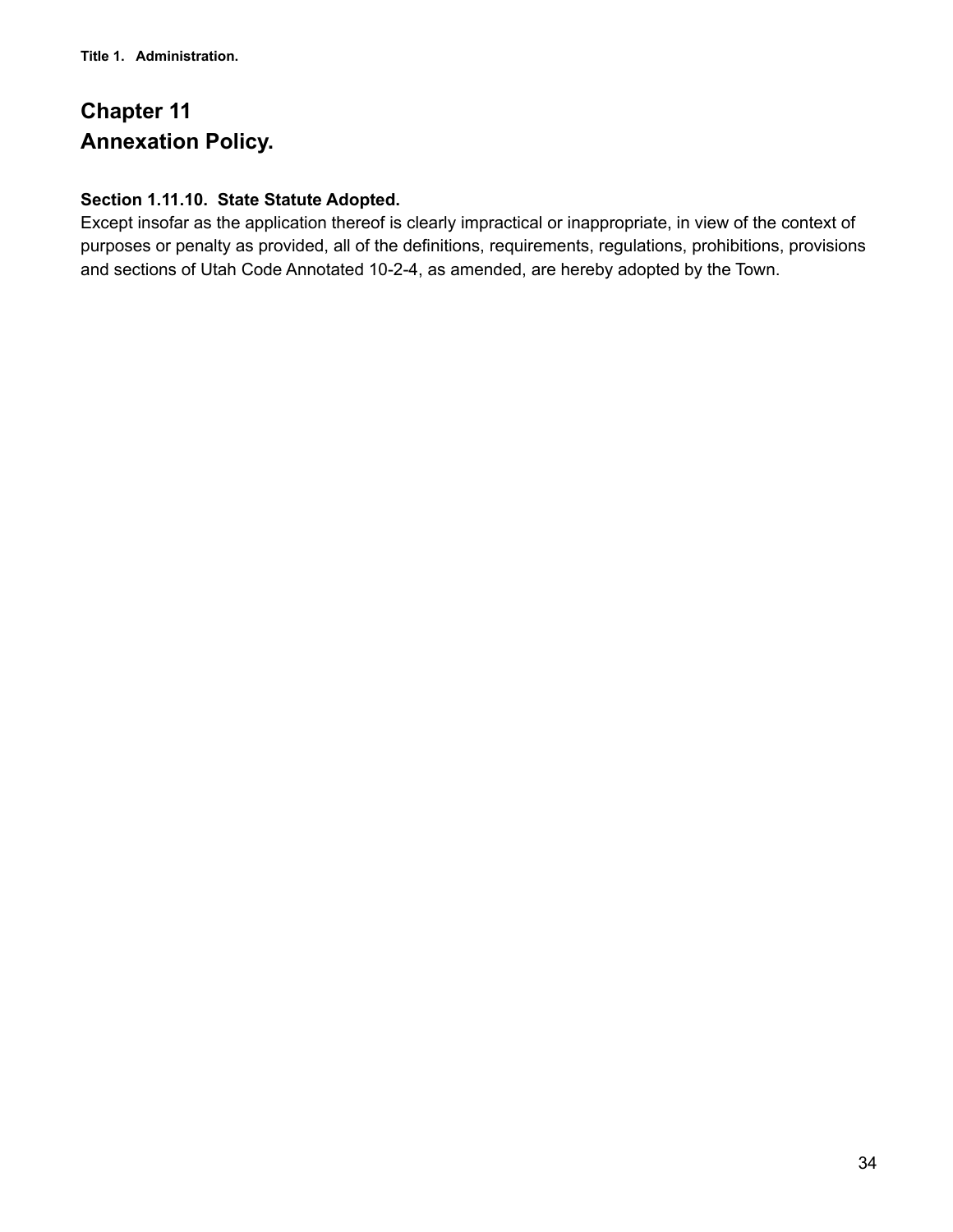# **Chapter 11 Annexation Policy.**

### **Section 1.11.10. State Statute Adopted.**

Except insofar as the application thereof is clearly impractical or inappropriate, in view of the context of purposes or penalty as provided, all of the definitions, requirements, regulations, prohibitions, provisions and sections of Utah Code Annotated 10-2-4, as amended, are hereby adopted by the Town.